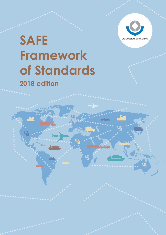

# WORLD CUSTOMS ORGANIZATION **Framework of Standards 2018 edition**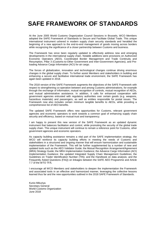## **SAFE FRAMEWORK OF STANDARDS**

At the June 2005 World Customs Organization Council Sessions in Brussels, WCO Members adopted the SAFE Framework of Standards to Secure and Facilitate Global Trade. This unique international instrument ushered in modern supply chain security standards and heralded the beginning of a new approach to the end-to-end management of goods moving across borders while recognizing the significance of a closer partnership between Customs and business.

The Framework has since been regularly updated to effectively address new and emerging developments in the international supply chain. Notable additions were provisions on Authorized Economic Operators (AEO), Coordinated Border Management and Trade Continuity and Resumption, Pillar 3 (Customs-to-Other Government and Inter-Government Agencies), and Preloading Advance Cargo Information (ACI) for air cargo.

The forces of globalization, innovation and technological changes continue driving enormous changes in the global supply chain. To further assist Members and stakeholders in building and enhancing a secure and facilitative international trade environment, the SAFE Framework has again been updated in 2018.

The 2018 version of the SAFE Framework augments the objectives of the SAFE Framework with respect to strengthening co-operation between and among Customs administrations, for example through the exchange of information, mutual recognition of controls, mutual recognition of AEOs, and mutual administrative assistance. In addition, it calls for enhanced cooperation with government agencies entrusted with regulatory authorities over certain goods (e.g. weapons, hazardous materials) and passengers, as well as entities responsible for postal issues. The Framework now also includes certain minimum tangible benefits to AEOs, while providing a comprehensive list of AEO benefits.

The updated SAFE Framework offers new opportunities for Customs, relevant government agencies and economic operators to work towards a common goal of enhancing supply chain security and efficiency, based on mutual trust and transparency.

I am happy to present this new version of the SAFE Framework as an updated dynamic instrument that balances facilitation and control, while promoting the security of the global trade supply chain. This unique instrument will continue to remain a reference point for Customs, other government agencies and economic operators.

As capacity building assistance remains a vital part of the SAFE implementation strategy, the WCO will reinforce its capacity building efforts in meeting the needs of Customs and stakeholders in a structured and ongoing manner that will ensure harmonization and sustainable implementation of the Framework. This will be further supplemented by a number of new and updated tools such as the AEO Validator Guide; the Mutual Recognition Arrangement/Agreement (MRA) Strategy Guide; the MRA Implementation Guidance; the Advance Cargo Information (ACI) Implementation Guidance; the updated Integrated Supply Chain Management Guidelines; the Guidelines on Trader Identification Number (TIN); and the Handbook on data analysis; and the Frequently Asked Questions (FAQ) on linkages between the SAFE AEO Programme and Article 7.7 of the WTO TFA.

I encourage all WCO Members and stakeholders to deepen the implementation the Framework and associated tools in an effective and harmonized manner, leveraging the collective lessons learned thus far and the new opportunities outlined in the 2018 SAFE Framework of Standards.

Kunio Mikuriya Secretary General World Customs Organization June 2018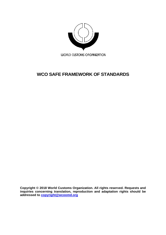

## **WCO SAFE FRAMEWORK OF STANDARDS**

**Copyright © 2018 World Customs Organization. All rights reserved. Requests and inquiries concerning translation, reproduction and adaptation rights should be addressed to [copyright@wcoomd.org](mailto:copyright@wcoomd.org)**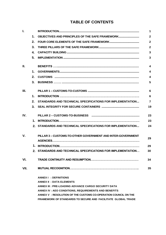### **TABLE OF CONTENTS**

|                                            |               |                                                                     | $\blacktriangleleft$    |
|--------------------------------------------|---------------|---------------------------------------------------------------------|-------------------------|
|                                            | $\mathbf 1$ . | OBJECTIVES AND PRINCIPLES OF THE SAFE FRAMEWORK                     | $\overline{2}$          |
|                                            | 2.            |                                                                     | $\overline{2}$          |
|                                            | 3.            |                                                                     | $\overline{2}$          |
|                                            | $\mathbf{4}$  |                                                                     | 3                       |
|                                            | 5.            |                                                                     | $\overline{\mathbf{3}}$ |
|                                            |               |                                                                     | $\boldsymbol{A}$        |
|                                            | $\mathbf 1$ . |                                                                     | $\overline{\mathbf{4}}$ |
|                                            | 2.            |                                                                     | $\boldsymbol{4}$        |
|                                            | 3.            |                                                                     | 5                       |
| I.<br>Ш.<br>Ш.<br>IV.<br>V.<br>VI.<br>VII. |               |                                                                     | 6                       |
|                                            | $\mathbf 1$ . |                                                                     | 6                       |
|                                            | 2.            | STANDARDS AND TECHNICAL SPECIFICATIONS FOR IMPLEMENTATION           | $\overline{7}$          |
|                                            | 3.            |                                                                     | 19                      |
|                                            |               |                                                                     | 23                      |
|                                            |               |                                                                     | 23                      |
|                                            |               | 2. STANDARDS AND TECHNICAL SPECIFICATIONS FOR IMPLEMENTATION        | 24                      |
|                                            |               | PILLAR 3-CUSTOMS-TO-OTHER GOVERNMENT AND INTER-GOVERNMENT           | 29                      |
|                                            |               |                                                                     | 29                      |
|                                            |               | 2. STANDARDS AND TECHNICAL SPECIFICATIONS FOR IMPLEMENTATION        | 30                      |
|                                            |               |                                                                     | 34                      |
|                                            |               |                                                                     | 35                      |
|                                            |               | <b>ANNEX I : DEFINITIONS</b>                                        |                         |
|                                            |               | <b>ANNEX II: DATA ELEMENTS</b>                                      |                         |
|                                            |               | ANNEX III : PRE-LOADING ADVANCE CARGO SECURITY DATA                 |                         |
|                                            |               | <b>ANNEX IV : AEO CONDITIONS, REQUIREMENTS AND BENEFITS</b>         |                         |
|                                            |               | ANNEX V : RESOLUTION OF THE CUSTOMS CO-OPERATION COUNCIL ON THE     |                         |
|                                            |               | <b>FRAMEWORK OF STANDARDS TO SECURE AND FACILITATE GLOBAL TRADE</b> |                         |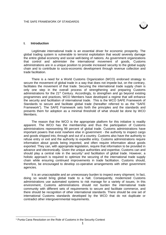

#### **I. Introduction**

Legitimate international trade is an essential driver for economic prosperity. The global trading system is vulnerable to terrorist exploitation that would severely damage the entire global economy and social well-being of nations. As government organizations that control and administer the international movement of goods, Customs administrations are in a unique position to provide increased security to the global supply chain and to contribute to socio-economic development through revenue collection and trade facilitation.

There is a need for a World Customs Organization (WCO) endorsed strategy to secure the movement of global trade in a way that does not impede but, on the contrary, facilitates the movement of that trade. Securing the international trade supply chain is only one step in the overall process of strengthening and preparing Customs administrations for the  $21<sup>st</sup>$  Century. Accordingly, to strengthen and go beyond existing programmes and practices, WCO Members have developed a regime that will enhance the security and facilitation of international trade. This is the WCO SAFE Framework of Standards to secure and facilitate global trade (hereafter referred to as the "SAFE Framework"). The SAFE Framework sets forth the principles and the standards and presents them for adoption as a minimal threshold of what should be done by WCO Members.

The reason that the WCO is the appropriate platform for this initiative is readily apparent. The WCO has the membership and thus the participation of Customs administrations representing 99 percent of global trade. Customs administrations have important powers that exist nowhere else in government - the authority to inspect cargo and goods shipped into, through and out of a country. Customs also have the authority to refuse entry or exit and the authority to expedite entry. Customs administrations require information about goods being imported, and often require information about goods exported. They can, with appropriate legislation, require that information to be provided in advance and electronically. Given the unique authorities and expertise, Customs can and should play a central role in the security<sup>1</sup> and facilitation of global trade. However, a holistic approach is required to optimize the securing of the international trade supply chain while ensuring continued improvements in trade facilitation. Customs should, therefore, be encouraged to develop co-operative arrangements with other government agencies.

It is an unacceptable and an unnecessary burden to inspect every shipment. In fact, doing so would bring global trade to a halt. Consequently, modernized Customs administrations use automated systems to risk manage for a variety of issues. In this environment, Customs administrations should not burden the international trade community with different sets of requirements to secure and facilitate commerce, and there should be recognition of other international standards. There should be one set of international Customs standards developed by the WCO that do not duplicate or contradict other intergovernmental requirements.

-

<sup>1</sup> Punta Cana Resolution on the Role of Customs in the Security Context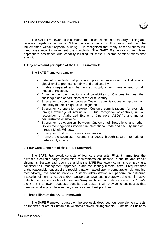

The SAFE Framework also considers the critical elements of capacity building and requisite legislative authority. While certain aspects of this instrument can be implemented without capacity building, it is recognized that many administrations will need assistance to implement the standards. The SAFE Framework contemplates appropriate assistance with capacity building for those Customs administrations that adopt it.

#### **1. Objectives and principles of the SAFE Framework**

The SAFE Framework aims to:

- $\checkmark$  Establish standards that provide supply chain security and facilitation at a global level to promote certainty and predictability.
- $\checkmark$  Enable integrated and harmonized supply chain management for all modes of transport.
- $\checkmark$  Enhance the role, functions and capabilities of Customs to meet the challenges and opportunities of the 21st Century.
- $\checkmark$  Strengthen co-operation between Customs administrations to improve their capability to detect high-risk consignments.
- $\checkmark$  Strengthen co-operation between Customs administrations, for example through exchange of information, mutual recognition of controls, mutual recognition of Authorized Economic Operators (AEOs)<sup>2</sup>, and mutual administrative assistance.
- $\checkmark$  Strengthen co-operation between Customs administrations and other Government agencies involved in international trade and security such as through Single Window.
- $\checkmark$  Strengthen Customs/Business co-operation.
- $\checkmark$  Promote the seamless movement of goods through secure international trade supply chains.

#### **2. Four Core Elements of the SAFE Framework**

The SAFE Framework consists of four core elements. *First*, it harmonizes the advance electronic cargo information requirements on inbound, outbound and transit shipments. *Second*, each country that joins the SAFE Framework commits to employing a consistent risk management approach to address security threats. *Third*, it requires that at the reasonable request of the receiving nation, based upon a comparable risk targeting methodology, the sending nation's Customs administration will perform an outbound inspection of high-risk cargo and/or transport conveyances, preferably using non-intrusive detection equipment such as large-scale X-ray machines and radiation detectors. *Fourth*, the SAFE Framework suggests benefits that Customs will provide to businesses that meet minimal supply chain security standards and best practices.

#### **3. Three Pillars of the SAFE Framework**

The SAFE Framework, based on the previously described four core elements, rests on the three pillars of Customs-to-Customs network arrangements, Customs-to-Business

-

<sup>2</sup> Defined in Annex 1.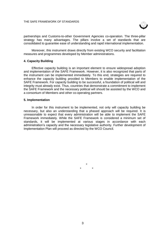

partnerships and Customs-to-other Government Agencies co-operation. The three-pillar strategy has many advantages. The pillars involve a set of standards that are consolidated to guarantee ease of understanding and rapid international implementation.

Moreover, this instrument draws directly from existing WCO security and facilitation measures and programmes developed by Member administrations.

#### **4. Capacity Building**

Effective capacity building is an important element to ensure widespread adoption and implementation of the SAFE Framework. However, it is also recognized that parts of the instrument can be implemented immediately. To this end, strategies are required to enhance the capacity building provided to Members to enable implementation of the SAFE Framework. For capacity building to be successful, a foundation of political will and integrity must already exist. Thus, countries that demonstrate a commitment to implement the SAFE Framework and the necessary political will should be assisted by the WCO and a consortium of Members and other co-operating partners.

#### **5. Implementation**

In order for this instrument to be implemented, not only will capacity building be necessary, but also an understanding that a phased approach will be required. It is unreasonable to expect that every administration will be able to implement the SAFE Framework immediately. While the SAFE Framework is considered a minimum set of standards, it will be implemented at various stages in accordance with each administration's capacity and the necessary legislative authority. Further development of Implementation Plan will proceed as directed by the WCO Council.

> \* \* \*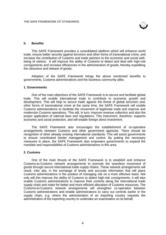

#### **II. Benefits**

This SAFE Framework provides a consolidated platform which will enhance world trade, ensure better security against terrorism and other forms of transnational crime, and increase the contribution of Customs and trade partners to the economic and social wellbeing of nations. It will improve the ability of Customs to detect and deal with high-risk consignments and increase efficiencies in the administration of goods, thereby expediting the clearance and release of goods.

Adoption of the SAFE Framework brings the above mentioned benefits to governments, Customs administrations and the business community alike.

#### **1. Governments**

One of the main objectives of the SAFE Framework is to secure and facilitate global trade. This will enable international trade to contribute to economic growth and development. This will help to secure trade against the threat of global terrorism and, other forms of transnational crime at the same time, the SAFE Framework will enable Customs administrations to facilitate the movement of legitimate trade and improve and modernize Customs operations. This will, in turn, improve revenue collection and also the proper application of national laws and regulations. This instrument, therefore, supports economic and social protection, and will enable foreign direct investment.

The SAFE Framework also encourages the establishment of co-operative arrangements between Customs and other government agencies. There should be recognition of other already existing international standards. This will assist governments to ensure coordinated border management and control. By putting the necessary measures in place, the SAFE Framework also empowers governments to expand the mandate and responsibilities of Customs administrations in this area.

#### **2. Customs**

One of the main thrusts of the SAFE Framework is to establish and enhance Customs-to-Customs network arrangements to promote the seamless movement of goods through secure international trade supply chains. These network arrangements will result, inter alia, in the exchange of timely and accurate information that will place Customs administrations in the position of managing risk on a more effective basis. Not only will this improve the ability of Customs to detect high-risk consignments, it will also enable Customs administrations to improve their controls along the international trade supply chain and make for better and more efficient allocation of Customs resources. The Customs-to-Customs network arrangements will strengthen co-operation between Customs administrations and enable administrations to carry out controls earlier in the supply chain, e.g. where the administration of an importing country requests the administration of the exporting country to undertake an examination on its behalf.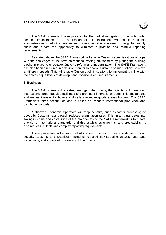

The SAFE Framework also provides for the mutual recognition of controls under certain circumstances. The application of this instrument will enable Customs administrations to adopt a broader and more comprehensive view of the global supply chain and create the opportunity to eliminate duplication and multiple reporting requirements.

As stated above, the SAFE Framework will enable Customs administrations to cope with the challenges of the new international trading environment by putting the building blocks in place to undertake Customs reform and modernization. The SAFE Framework has also been structured in a flexible manner to enable Customs administrations to move at different speeds. This will enable Customs administrations to implement it in line with their own unique levels of development, conditions and requirements.

#### **3. Business**

The SAFE Framework creates, amongst other things, the conditions for securing international trade, but also facilitates and promotes international trade. This encourages and makes it easier for buyers and sellers to move goods across borders. The SAFE Framework takes account of, and is based on, modern international production and distribution models.

Authorized Economic Operators will reap benefits, such as faster processing of goods by Customs, e.g. through reduced examination rates. This, in turn, translates into savings in time and costs. One of the main tenets of the SAFE Framework is to create one set of international standards, and this establishes uniformity and predictability. It also reduces multiple and complex reporting requirements.

These processes will ensure that AEOs see a benefit to their investment in good security systems and practices, including reduced risk-targeting assessments and inspections, and expedited processing of their goods.

> \* \* \*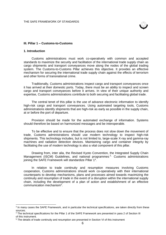

#### **III. Pillar 1 – Customs-to-Customs**

#### **1. Introduction**

-

Customs administrations must work co-operatively with common and accepted standards to maximize the security and facilitation of the international trade supply chain as cargo shipments and transport conveyances move along the nodes of the global trading system. The Customs-to-Customs Pillar achieves this objective. It provides an effective mechanism for securing the international trade supply chain against the effects of terrorism and other forms of transnational crime.

Traditionally, Customs administrations inspect cargo and transport conveyances once it has arrived at their domestic ports. Today, there must be an ability to inspect and screen cargo and transport conveyances before it arrives. In view of their unique authority and expertise, Customs administrations contribute to both securing and facilitating global trade.

The central tenet of this pillar is the use of advance electronic information to identify high-risk cargo and transport convevances. Using automated targeting tools, Customs administrations identify shipments that are high-risk as early as possible in the supply chain, at or before the port of departure.

Provision should be made for the automated exchange of information. Systems should therefore be based on harmonized messages and be interoperable.

To be effective and to ensure that the process does not slow down the movement of trade, Customs administrations should use modern technology to inspect high-risk shipments. This technology includes, but is not limited to, large-scale X-ray and gamma-ray machines and radiation detection devices. Maintaining cargo and container integrity by facilitating the use of modern technology is also a vital component of this pillar.

Drawing from, inter alia, the Revised Kyoto Convention, the Integrated Supply Chain Management (ISCM) Guidelines, and national programmes  $3<sub>1</sub>$  Customs administrations joining the SAFE Framework will standardize Pillar 1<sup>4</sup>.

In relation to trade continuity and resumption measures involving Customs cooperation, Customs administrations should work co-operatively with their international counterparts to develop mechanisms, plans and processes aimed towards maximizing the continuity and resumption of trade in the event of a disruption within the international supply chain, including the development of a plan of action and establishment of an effective communication mechanism<sup>5</sup>.

<sup>&</sup>lt;sup>3</sup> In many cases the SAFE Framework, and in particular the technical specifications, are taken directly from these sources.

<sup>&</sup>lt;sup>4</sup> The technical specifications for the Pillar 1 of the SAFE Framework are presented in para 2 of Section III of this instrument.

<sup>5</sup> The details of trade continuity and resumption are presented in Section VI of this instrument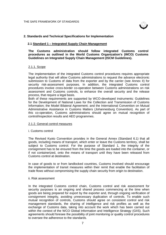

#### **2. Standards and Technical Specifications for Implementation**

#### **2.1 Standard 1 – Integrated Supply Chain Management**

#### **The Customs administration should follow integrated Customs control procedures as outlined in the World Customs Organization's (WCO) Customs Guidelines on Integrated Supply Chain Management (ISCM Guidelines).**

#### 2.1.1. Scope

The implementation of the integrated Customs control procedures requires appropriate legal authority that will allow Customs administrations to request the advance electronic submission to Customs of data from the exporter and by the carrier (see Annex II) for security risk-assessment purposes. In addition, the integrated Customs control procedures involve cross-border co-operation between Customs administrations on risk assessment and Customs controls, to enhance the overall security and the release process, that require a legal basis.

Both of these requirements are supported by WCO-developed instruments: Guidelines for the Development of National Laws for the Collection and Transmission of Customs Information; the Model Bilateral Agreement; and the International Convention on Mutual Administrative Assistance in Customs Matters (Johannesburg Convention). As part of this co-operation, Customs administrations should agree on mutual recognition of control/inspection results and AEO programmes.

#### 2.1.2. General control measures

#### i. Customs control

The Revised Kyoto Convention provides in the General Annex (Standard 6.1) that all goods, including means of transport, which enter or leave the Customs territory, shall be subject to Customs control. For the purpose of Standard 1, the integrity of the consignment has to be ensured from the time the goods are loaded into the container, or if not containerized, onto the means of transport until they have been released from Customs control at destination.

In case of goods to or from landlocked countries, Customs involved should encourage the implementation of transit measures within their remit that enable the facilitation of trade flows without compromising the supply chain security from origin to destination.

#### ii. Risk assessment

In the integrated Customs control chain, Customs control and risk assessment for security purposes is an ongoing and shared process commencing at the time when goods are being prepared for export by the exporter and, through ongoing verification of consignment integrity, avoiding unnecessary duplication of controls. To enable such mutual recognition of controls, Customs should agree on consistent control and risk management standards, the sharing of intelligence and risk profiles as well as the exchange of Customs data, taking into account the work which has been carried out within the context of the WCO Global Information and Intelligence Strategy (GIIS). Such agreements should foresee the possibility of joint monitoring or quality control procedures to oversee the adherence to the standards.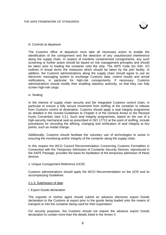

#### iii. Controls at departure

The Customs office of departure must take all necessary action to enable the identification of the consignment and the detection of any unauthorized interference along the supply chain. In respect of maritime containerized consignments, any such screening or further action should be based on risk management principles and should be taken prior to loading the container onto the ship. The ISPS Code (b1 630- 37) outlines in broad terms the measures which should be taken by the port facility. In addition, the Customs administrations along the supply chain should agree to use an electronic messaging system to exchange Customs data, control results and arrival notifications, in particular for high-risk consignments. If necessary, Customs administrations should modify their enabling statutory authority, so that they can fully screen high-risk cargo.

#### iv. Sealing

In the interest of supply chain security and the integrated Customs control chain, in particular to ensure a fully secure movement from stuffing of the container to release from Customs control at destination, Customs should apply a seal integrity programme as detailed in the revised Guidelines to Chapter 6 of the General Annex to the Revised Kyoto Convention (see 3.3.). Such seal integrity programmes, based on the use of a high-security mechanical seal as prescribed in ISO 17712 at the point of stuffing, include procedures for recording the affixing, changing and verification of seal integrity at key points, such as modal change.

Additionally, Customs should facilitate the voluntary use of technologies to assist in ensuring the monitoring and/or integrity of the container along the supply chain.

In this respect the WCO Council Recommendation Concerning Customs Formalities in Connection with the Temporary Admission of Container Security Devices; reproduced in the SAFE Package, provides the basis for facilitation of the temporary admission of these devices

#### v. Unique Consignment Reference (UCR)

Customs administrations should apply the WCO Recommendation on the UCR and its accompanying Guidelines

#### 2.1.3. Submission of data

#### i. Export Goods declaration

The exporter or his/her agent should submit an advance electronic export Goods declaration to the Customs at export prior to the goods being loaded onto the means of transport or into the container being used for their exportation.

For security purposes, the Customs should not require the advance export Goods declaration to contain more than the details listed in the Annex II.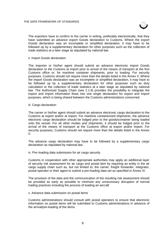

The exporters have to confirm to the carrier in writing, preferably electronically, that they have submitted an advance export Goods declaration to Customs. Where the export Goods declaration was an incomplete or simplified declaration, it may have to be followed up by a supplementary declaration for other purposes such as the collection of trade statistics at a later stage as stipulated by national law.

ii. Import Goods declaration

The importer or his/her agent should submit an advance electronic import Goods declaration to the Customs at import prior to arrival of the means of transport at the first Customs office or, for maritime container shipments, prior to loading. For security purposes, Customs should not require more than the details listed in the Annex II. Where the import Goods declaration was an incomplete or simplified declaration, it may have to be followed up by a supplementary declaration for other purposes such as duty calculation or the collection of trade statistics at a later stage as stipulated by national law. The Authorized Supply Chain (see 2.1.6) provides the possibility to integrate the export and import information flows into one single declaration for export and import purposes, which is being shared between the Customs administrations concerned.

iii. Cargo declaration

The carrier or his/her agent should submit an advance electronic cargo declaration to the Customs at export and/or at import. For maritime containerized shipments, the advance electronic cargo declaration should be lodged prior to the goods/container being loaded onto the vessel. For all other modes and shipments, it should be lodged prior to the arrival of the means of transport at the Customs office at export and/or import. For security purposes, Customs should not require more than the details listed in the Annex II.

The advance cargo declaration may have to be followed by a supplementary cargo declaration as stipulated by national law.

iv. Pre–loading data submission for air cargo security

Customs in cooperation with other appropriate authorities may apply an additional layer of security risk assessment for air cargo and postal item by requiring an entity in the air cargo supply chain such as, but not limited to, the carrier, freight forwarder, integrator, postal operator or their agent to submit a pre-loading data set as specified in Annex III.

The provision of the data and the communication of the resulting risk assessment should be provided as early as possible to minimize any unnecessary disruption of normal trading practices including the process of loading an aircraft

v. Advance data submission on postal items

Customs administrations should consult with postal operators to ensure that electronic information on postal items will be submitted to Customs administrations in advance of the arrival/pre-loading of the items.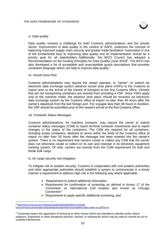

#### vi. Data quality

Data quality remains a challenge for both Customs administrations and the private sector. Improvement of data quality in the context of SAFE, underpins the concept of balancing improved supply chain security and greater trade facilitation. Automation is one of the fundamental keys to improving data quality and its implementation should be a priority goal for all stakeholders. Additionally, the WCO Council has adopted a Recommendation on the Guiding Principles for Data Quality (June 2015)<sup>6</sup>. The WCO has also developed a list of acceptable and unacceptable goods descriptions that provides consistent language which can help to improve data quality."

#### vii. Vessel Stow Plan

Customs administrations may require the vessel operator, or "carrier", to submit via electronic data exchange system advance vessel stow plans (VSPs) to the Customs at import prior to the arrival of the means of transport at the first Customs office. Vessels that are not transporting containers are exempt from providing a VSP. Since VSPs apply only to the maritime mode, the advance stow plans should be received via electronic data exchange system by the Customs office at import no later than 48 hours after the carrier's departure from the last foreign port. For voyages less than 48 hours in duration, the VSP should be submitted prior to the vessel's arrival at the first Customs office.

#### viii. Container Status Messages

Customs administrations, for maritime transport, may require the carrier to submit container status messages (CSM) to report terminal container movements and to report changes in the status of the containers. The CSM are required for all containers, including empty containers, destined to arrive within the limits of the Customs office at import no later than 24 hours after the message has been entered into the carrier's system. There is no requirement that carriers create or collect any CSM that the carrier does not otherwise create or collect on its own and maintain in its electronic equipment tracking system. Of note, carriers are exempt from the CSM requirement for bulk and break bulk cargo.

#### ix. Air cargo security risk mitigation

-

To mitigate risk to aviation security, Customs in cooperation with civil aviation authorities and other appropriate authorities should establish a system to communicate in a timely manner a requirement to address high risk in the following way where applicable:

- Requirement to submit additional information
- Requirement for confirmation of screening as defined in Annex 17 of the Convention on International Civil Aviation also known as Chicago Convention<sup>7</sup>
- Requirement to apply specific additional screening, and

<sup>6</sup> [http://www.wcoomd.org/-/media/wco/public/global/pdf/about-us/legal](http://www.wcoomd.org/-/media/wco/public/global/pdf/about-us/legal-instruments/recommendations/facilitation/transport/recommendation-data-quality-en.pdf?la=en)[instruments/recommendations/facilitation/transport/recommendation-data-quality-en.pdf?la=en](http://www.wcoomd.org/-/media/wco/public/global/pdf/about-us/legal-instruments/recommendations/facilitation/transport/recommendation-data-quality-en.pdf?la=en)

<sup>&</sup>lt;sup>7</sup> Screening means the application of technical or other means which are intended to identify and/or detect weapons, explosives or other dangerous devices, articles, or substances which may be used to commit an act of unlawful interference.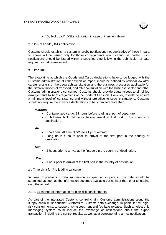

"Do Not Load" (DNL) notification in case of imminent threat

#### x. "Do Not Load" (DNL) notification

Customs should establish a system whereby notifications not duplicative of those in para vii above will be issued only for those consignments which cannot be loaded. Such notifications should be issued within a specified time following the submission of data required for risk assessment.

#### xi. Time limit

The exact time at which the Goods and Cargo declarations have to be lodged with the Customs administration at either export or import should be defined by national law after careful analysis of the geographical situation and the business processes applicable for the different modes of transport, and after consultation with the business sector and other Customs administrations concerned. Customs should provide equal access to simplified arrangements to AEOs regardless of the mode of transport. However, in order to ensure a minimum level of consistency and without prejudice to specific situations, Customs should not require the advance declarations to be submitted more than:

#### *Maritime*

- - Containerized cargo: 24 hours before loading at port of departure.
- -Bulk/Break bulk: 24 hours before arrival at first port in the country of destination.

#### *Air*

- -Short haul: At time of "Wheels Up" of aircraft.
- -Long haul: 4 hours prior to arrival at the first port in the country of destination.

#### *Rail*

-2 hours prior to arrival at the first port in the country of destination.

#### *Road*

- -1 hour prior to arrival at the first port in the country of destination.
- xii. Time Limit for Pre-loading air cargo

In case of pre-loading data submission as specified in para iv, the data should be submitted as soon as the information becomes available but no later than prior to loading onto the aircraft.

#### 2.1.4. Exchange of information for high-risk consignments

As part of the integrated Customs control chain, Customs administrations along the supply chain must consider Customs-to-Customs data exchange, in particular for highrisk consignments, to support risk assessment and facilitate release. Such an electronic messaging system could include the exchange of notifications about the export transaction, including the control results, as well as a corresponding arrival notification.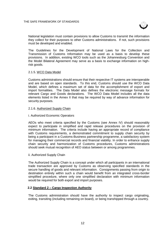

National legislation must contain provisions to allow Customs to transmit the information they collect for their purposes to other Customs administrations. If not, such provisions must be developed and enabled.

The Guidelines for the Development of National Laws for the Collection and Transmission of Customs Information may be used as a basis to develop these provisions. In addition, existing WCO tools such as the Johannesburg Convention and the Model Bilateral Agreement may serve as a basis to exchange information on highrisk goods.

#### 2.1.5. WCO Data Model

Customs administrations should ensure that their respective IT systems are interoperable and are based on open standards. To this end, Customs should use the WCO Data Model, which defines a maximum set of data for the accomplishment of export and import formalities. The Data Model also defines the electronic message formats for relevant Cargo and Goods declarations. The WCO Data Model includes all the data elements listed in the Annex II that may be required by way of advance information for security purposes.

#### 2.1.6. Authorized Supply Chain

#### i. Authorized Economic Operators

AEOs who meet criteria specified by the Customs (see Annex IV) should reasonably expect to participate in simplified and rapid release procedures on the provision of minimum information. The criteria include having an appropriate record of compliance with Customs requirements, a demonstrated commitment to supply chain security by being a participant in a Customs-Business partnership programme, a satisfactory system for managing their commercial records and financial viability. In order to enhance supply chain security and harmonization of Customs procedures, Customs administrations should seek mutual recognition of AEO status between or among programmes.

#### ii. Authorized Supply Chain

The Authorized Supply Chain is a concept under which all participants in an international trade transaction are approved by Customs as observing specified standards in the secure handling of goods and relevant information. Consignments passing from origin to destination entirely within such a chain would benefit from an integrated cross-border simplified procedure, where only one simplified declaration with minimum information would be required for both export and import purposes.

#### **2.2 Standard 2 – Cargo Inspection Authority**

The Customs administration should have the authority to inspect cargo originating, exiting, transiting (including remaining on board), or being transhipped through a country.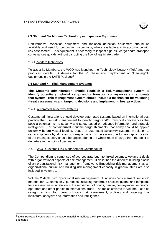

#### **2.3 Standard 3 – Modern Technology in Inspection Equipment**

Non-intrusive inspection equipment and radiation detection equipment should be available and used for conducting inspections, where available and in accordance with risk assessment. This equipment is necessary to inspect high-risk cargo and/or transport conveyances quickly, without disrupting the flow of legitimate trade.

#### 2.3.1. Modern technology

To assist its Members, the WCO has launched the Technology Network (TeN) and has produced detailed Guidelines for the Purchase and Deployment of Scanning/NII equipment in the SAFE Package<sup>8</sup>.

#### **2.4 Standard 4 – Risk-Management Systems**

**The Customs administration should establish a risk-management system to identify potentially high-risk cargo and/or transport conveyances and automate that system. This management system should include a mechanism for validating threat assessments and targeting decisions and implementing best practices.**

#### 2.4.1. Automated selectivity systems

-

Customs administrations should develop automated systems based on international best practice that use risk management to identify cargo and/or transport conveyances that pose a potential risk to security and safety based on advance information and strategic intelligence. For containerized maritime cargo shipments, that ability should be applied uniformly before vessel loading. Usage of automated selectivity systems in relation to cargo shipments by all types of transport which is necessary due to geographic location of the trading country should be applied during the whole route of cargo from the point of departure to the point of destination.

#### 2.4.2. WCO Customs Risk Management Compendium

The Compendium is comprised of two separate but interlinked volumes. Volume 1 deals with organizational aspects of risk management. It describes the different building blocks of an organizational risk management framework. Embedding risk management as an organizational culture and building risk management capacity in gradual steps are also included in Volume 1.

Volume 2 deals with operational risk management. It includes "enforcement sensitive" material for "Customs only" purposes, including numerous practical guides and templates for assessing risks in relation to the movement of goods, people, conveyances, economic operators and other parties to international trade. The topics covered in Volume 2 can be categorized into four broad clusters: risk assessment, profiling and targeting; risk indicators; analysis; and information and intelligence.

<sup>&</sup>lt;sup>8</sup>. SAFE Package incorporates all guidance material to facilitate the implementation of the SAFE Framework of **Standards**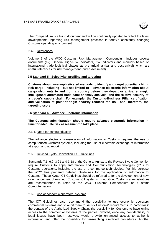

The Compendium is a living document and will be continually updated to reflect the latest developments regarding risk management practices in today's constantly changing Customs operating environment.

#### 2.4.3. References

Volume 2 of the WCO Customs Risk Management Compendium includes several documents (e.g. General High-Risk Indicators, risk indicators and manuals based on international trade logistical phases as pre-arrival, arrival and post-arrival) which are useful references for risk management (and assessment).

#### **2.5 Standard 5 - Selectivity, profiling and targeting**

**Customs should use sophisticated methods to identify and target potentially highrisk cargo, including - but not limited to - advance electronic information about cargo shipments to and from a country before they depart or arrive; strategic intelligence; automated trade data; anomaly analysis; and the relative security of a trader's supply chain. For example, the Customs-Business Pillar certification and validation of point-of-origin security reduces the risk, and, therefore, the targeting score.**

#### **2.6 Standard 6 – Advance Electronic Information**

**The Customs administration should require advance electronic information in time for adequate risk assessment to take place.**

#### 2.6.1. Need for computerization

The advance electronic transmission of information to Customs requires the use of computerized Customs systems, including the use of electronic exchange of information at export and at import.

#### 2.6.2. Revised Kyoto Convention ICT Guidelines

Standards 7.1, 6.9, 3.21 and 3.18 of the General Annex to the Revised Kyoto Convention require Customs to apply Information and Communication Technologies (ICT) for Customs operations, including the use of e-commerce technologies. For this purpose, the WCO has prepared detailed Guidelines for the application of automation for Customs. These Kyoto ICT Guidelines should be referred to for the development of new, or enhancement of existing, Customs ICT systems. In addition, Customs administrations are recommended to refer to the WCO Customs Compendium on Customs Computerization.

#### 2.6.3. Use of economic operators' systems

The ICT Guidelines also recommend the possibility to use economic operators' commercial systems and to audit them to satisfy Customs' requirements. In particular in the context of the Authorized Supply Chain, the possibility for Customs to have online access to the commercial systems of the parties involved, once any confidentiality or legal issues have been resolved, would provide enhanced access to authentic information and offer the possibility for far-reaching simplified procedures. Another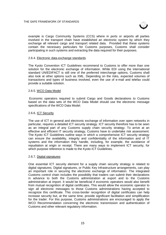

example is Cargo Community Systems (CCS) where in ports or airports all parties involved in the transport chain have established an electronic system by which they exchange all relevant cargo and transport related data. Provided that these systems contain the necessary particulars for Customs purposes, Customs shall consider participating in such systems and extracting the data required for their purposes.

#### 2.6.4. Electronic data-exchange standards

The Kyoto Convention ICT Guidelines recommend to Customs to offer more than one solution for the electronic exchange of information. While EDI using the international standard UN/EDIFACT is still one of the preferred interchange options, Customs shall also look at other options such as XML. Depending on the risks, expected volumes of transactions and types of business involved, even the use of e-mail and telefax could provide a suitable solution.

#### 2.6.5. WCO Data Model

Economic operators required to submit Cargo and Goods declarations to Customs based on the data sets of the WCO Data Model should use the electronic message specifications of the WCO Data Model.

#### 2.6.6. ICT Security

The use of ICT in general and electronic exchange of information over open networks in particular, requires a detailed ICT security strategy. ICT security therefore has to be seen as an integral part of any Customs supply chain security strategy. To arrive at an effective and efficient IT security strategy, Customs have to undertake risk assessment. The Kyoto ICT Guidelines outline ways in which a comprehensive ICT security strategy can ensure the availability, integrity and confidentiality of the information and of IT systems and the information they handle, including, for example, the avoidance of repudiation at origin or receipt. There are many ways to implement ICT security, for which purpose reference is made to the Kyoto ICT Guidelines.

#### 2.6.7. Digital signatures

One essential ICT security element for a supply chain security strategy is related to digital signatures. Digital signatures, or Public Key Infrastructure arrangements, can play an important role in securing the electronic exchange of information. The integrated Customs control chain includes the possibility that traders can submit their declarations in advance to both the Customs administration at export and to the Customs administration at import. It would be beneficial if economic operators would also benefit from mutual recognition of digital certificates. This would allow the economic operator to sign all electronic messages to those Customs administrations having accepted to recognize this certificate. This cross-border recognition of digital certificates can help increase security but, at the same time, provide significant facilitation and simplification for the trader. For this purpose, Customs administrations are encouraged to apply the WCO Recommendation concerning the electronic transmission and authentication of Customs and other relevant regulatory information.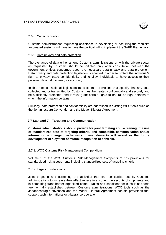

#### 2.6.8. Capacity building

Customs administrations requesting assistance in developing or acquiring the requisite automated systems will have to have the political will to implement the SAFE Framework.

#### 2.6.9. Data privacy and data protection

The exchange of data either among Customs administrations or with the private sector as requested by Customs should be initiated only after consultation between the government entities concerned about the necessary data privacy and data protection. Data privacy and data protection legislation is enacted in order to protect the individual's right to privacy, trade confidentiality and to allow individuals to have access to their personal data held to verify its accuracy.

In this respect, national legislation must contain provisions that specify that any data collected and or transmitted by Customs must be treated confidentially and securely and be sufficiently protected, and it must grant certain rights to natural or legal persons to whom the information pertains.

Similarly, data protection and confidentiality are addressed in existing WCO tools such as the Johannesburg Convention and the Model Bilateral Agreement.

#### **2.7 Standard 7 – Targeting and Communication**

**Customs administrations should provide for joint targeting and screening, the use of standardized sets of targeting criteria, and compatible communication and/or information exchange mechanisms; these elements will assist in the future development of a system of mutual recognition of controls.**

#### 2.7.1. WCO Customs Risk Management Compendium

Volume 2 of the WCO Customs Risk Management Compendium has provisions for standardized risk assessments including standardized sets of targeting criteria.

#### 2.7.2. Legal considerations

Joint targeting and screening are activities that can be carried out by Customs administrations to increase their effectiveness in ensuring the security of shipments and in combating trans-border organized crime. Rules and conditions for such joint efforts are normally established between Customs administrations. WCO tools such as the Johannesburg Convention and the Model Bilateral Agreement contain provisions that support such international or bilateral co-operation.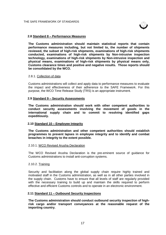

#### **2.8 Standard 8 – Performance Measures**

**The Customs administration should maintain statistical reports that contain performance measures including, but not limited to, the number of shipments reviewed, the subset of high-risk shipments, examinations of high-risk shipments conducted, examinations of high-risk shipments by Non-intrusive inspection technology, examinations of high-risk shipments by Non-intrusive inspection and physical means, examinations of high-risk shipments by physical means only, Customs clearance times and positive and negative results. Those reports should be consolidated by the WCO.**

#### 2.8.1. Collection of data

Customs administrations will collect and apply data to performance measures to evaluate the impact and effectiveness of their adherence to the SAFE Framework. For this purpose, the WCO Time Release Study (TRS) is an appropriate instrument.

#### **2.9 Standard 9 – Security Assessments**

**The Customs administration should work with other competent authorities to conduct security assessments involving the movement of goods in the international supply chain and to commit to resolving identified gaps expeditiously.**

#### **2.10 Standard 10 – Employee Integrity**

**The Customs administration and other competent authorities should establish programmes to prevent lapses in employee integrity and to identify and combat breaches in integrity to the extent possible.**

#### 2.10.1. WCO Revised Arusha Declaration

The WCO Revised Arusha Declaration is the pre-eminent source of guidance for Customs administrations to install anti-corruption systems.

#### 2.10.2. Training

Security and facilitation along the global supply chain require highly trained and motivated staff in the Customs administration, as well as in all other parties involved in the supply chain. Customs have to ensure that all levels of staff are regularly provided with the necessary training to build up and maintain the skills required to perform effective and efficient Customs controls and to operate in an electronic environment.

#### **2.11 Standard 11 – Outbound Security Inspections**

**The Customs administration should conduct outbound security inspection of highrisk cargo and/or transport conveyances at the reasonable request of the importing country.**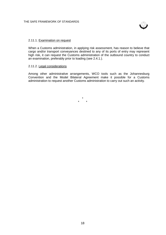

#### 2.11.1. Examination on request

When a Customs administration, in applying risk assessment, has reason to believe that cargo and/or transport conveyances destined to any of its ports of entry may represent high risk, it can request the Customs administration of the outbound country to conduct an examination, preferably prior to loading (see 2.4.1.).

#### 2.11.2. Legal considerations

Among other administrative arrangements, WCO tools such as the Johannesburg Convention and the Model Bilateral Agreement make it possible for a Customs administration to request another Customs administration to carry out such an activity.

> \* \* \*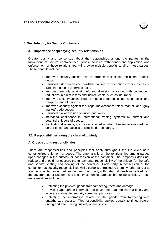

#### **3. Seal Integrity for Secure Containers**

#### **3.1. Importance of specifying security relationships**

Greater clarity and consensus about the relationships among the parties in the movement of secure containerized goods, coupled with consistent application and enforcement of those relationships, will provide multiple benefits to all of those parties. These benefits include:

- Improved security against acts of terrorism that exploit the global trade in goods.
- Reduced risk of economic hardship caused by disruptions to or closures of trade in response to terrorist acts.
- Improved security against theft and diversion of cargo, with consequent reductions in direct losses and indirect costs, such as insurance.
- Improved security against illegal transport of materials such as narcotics and weapons, and of persons.
- Improved security against the illegal movement of "black market" and "grey" market" trade goods.
- Reduced risk of evasion of duties and taxes.
- Increased confidence in international trading systems by current and potential shippers of goods.
- Facilitation dividends, such as a reduced number of examinations (reduced border times) and access to simplified procedures.

#### **3.2. Responsibilities along the chain of custody**

#### **A. Cross-cutting responsibilities**

There are responsibilities and principles that apply throughout the life cycle of a containerized shipment of goods. The emphasis is on the relationships among parties upon changes in the custody or possession of the container. That emphasis does not reduce and should not obscure the fundamental responsibility of the shipper for the safe and secure stuffing and sealing of the container. Each party in possession of the container has security responsibilities while cargo is entrusted to them, whether at rest at a node or while moving between nodes. Each party with data that needs to be filed with the government for Customs and security screening purposes has responsibilities. Those responsibilities include:

- Protecting the physical goods from tampering, theft, and damage.
- Providing appropriate information to government authorities in a timely and accurate manner for security screening purposes.
- Protecting the information related to the goods from tampering and unauthorized access. This responsibility applies equally to times before, during and after having custody of the goods.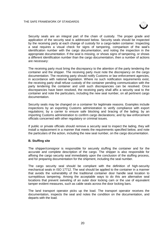

Security seals are an integral part of the chain of custody. The proper grade and application of the security seal is addressed below. Security seals should be inspected by the receiving party at each change of custody for a cargo-laden container. Inspecting a seal requires a visual check for signs of tampering, comparison of the seal's identification number with the cargo documentation, and noting the inspection in the appropriate documentation. If the seal is missing, or shows signs of tampering, or shows a different identification number than the cargo documentation, then a number of actions are necessary:

The receiving party must bring the discrepancy to the attention of the party tendering the container and the shipper. The receiving party must note the discrepancy on the cargo documentation. The receiving party should notify Customs or law enforcement agencies, in accordance with national legislation. Where no such notification requirements exist, the receiving party shall refuse custody of the container pending communication with the party tendering the container and until such discrepancies can be resolved. Once discrepancies have been resolved, the receiving party shall affix a security seal to the container and note the particulars, including the new seal number, on all pertinent cargo documentation.

Security seals may be changed on a container for legitimate reasons. Examples include inspections by an exporting Customs administration to verify compliance with export regulations; by a carrier to ensure safe blocking and bracing of the lading; by an importing Customs administration to confirm cargo declarations; and by law enforcement officials concerned with other regulatory or criminal issues.

If public or private officials should remove a security seal to inspect the lading, they will install a replacement in a manner that meets the requirements specified below, and note the particulars of the action, including the new seal number, on the cargo documentation.

#### **B. Stuffing site**

The shipper/consignor is responsible for securely stuffing the container and for the accurate and complete description of the cargo. The shipper is also responsible for affixing the cargo security seal immediately upon the conclusion of the stuffing process, and for preparing documentation for the shipment, including the seal number.

The cargo security seal should be compliant with the definition of high-security mechanical seals in ISO 17712. The seal should be applied to the container in a manner that avoids the vulnerability of the traditional container door handle seal location to surreptitious tampering. Among the acceptable ways to do this are alternative seal locations that prevent swiveling of an outer door locking cam or the use of equivalent tamper evident measures, such as cable seals across the door locking bars.

The land transport operator picks up the load. The transport operator receives the documentation, inspects the seal and notes the condition on the documentation, and departs with the load.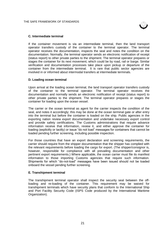

#### **C. Intermediate terminal**

If the container movement is via an intermediate terminal, then the land transport operator transfers custody of the container to the terminal operator. The terminal operator receives the documentation, inspects the seal and notes the condition on the documentation. Normally, the terminal operator sends an electronic notification of receipt (status report) to other private parties to the shipment. The terminal operator prepares or stages the container for its next movement, which could be by road, rail or barge. Similar verification and documentation processes take place upon pickup or departure of the container from the intermediate terminal. It is rare that public sector agencies are involved in or informed about intermodal transfers at intermediate terminals.

#### **D. Loading ocean terminal**

Upon arrival at the loading ocean terminal, the land transport operator transfers custody of the container to the terminal operator. The terminal operator receives the documentation and normally sends an electronic notification of receipt (status report) to other private parties to the shipment. The terminal operator prepares or stages the container for loading upon the ocean vessel.

The carrier or the ocean terminal as agent for the carrier inspects the condition of the seal, and notes it accordingly; this may be done at the ocean terminal gate or after entry into the terminal but before the container is loaded on the ship. Public agencies in the exporting nation review export documentation and undertake necessary export control and provide safety certifications. The Customs administrations that require advance information receive that information, review it, and either approve the container for loading (explicitly or tacitly) or issue "do not load" messages for containers that cannot be loaded pending further screening, including possible inspection.

For those countries that have an export declaration and screening requirements, the carrier should require from the shipper documentation that the shipper has complied with the relevant requirements before loading the cargo for export. (The shipper/consignor is, however, responsible for compliance with all prevailing documentation and other pertinent export requirements.) Where applicable, the ocean carrier must file its manifest information to those importing Customs agencies that require such information. Shipments for which "do-not-load" messages have been issued should not be loaded onboard the vessel pending further screening.

#### **E. Transhipment terminal**

The transhipment terminal operator shall inspect the security seal between the offloading and re-loading of the container. This requirement may be waived for transhipment terminals which have security plans that conform to the International Ship and Port Facility Security Code (ISPS Code produced by the International Maritime Organization).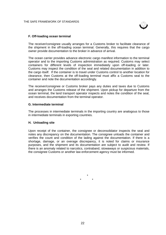

#### **F. Off-loading ocean terminal**

The receiver/consignee usually arranges for a Customs broker to facilitate clearance of the shipment in the off-loading ocean terminal. Generally, this requires that the cargo owner provide documentation to the broker in advance of arrival.

The ocean carrier provides advance electronic cargo manifest information to the terminal operator and to the importing Customs administration as required. Customs may select containers for different levels of inspection immediately upon off-loading or later. Customs may inspect the condition of the seal and related documentation in addition to the cargo itself. If the container is to travel under Customs control to another location for clearance, then Customs at the off-loading terminal must affix a Customs seal to the container and note the documentation accordingly.

The receiver/consignee or Customs broker pays any duties and taxes due to Customs and arranges the Customs release of the shipment. Upon pickup for departure from the ocean terminal, the land transport operator inspects and notes the condition of the seal, and receives documentation from the terminal operator.

#### **G. Intermediate terminal**

The processes in intermediate terminals in the importing country are analogous to those in intermediate terminals in exporting countries.

#### **H. Unloading site**

Upon receipt of the container, the consignee or deconsolidator inspects the seal and notes any discrepancy on the documentation. The consignee unloads the container and verifies the count and condition of the lading against the documentation. If there is a shortage, damage, or an overage discrepancy, it is noted for claims or insurance purposes, and the shipment and its documentation are subject to audit and review. If there is an anomaly related to narcotics, contraband, stowaways or suspicious materials, the consignee Customs or another law enforcement agency must be informed.

> \* \* \*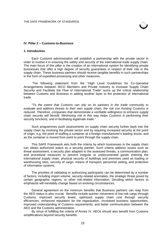

#### **IV. Pillar 2 – Customs-to-Business**

#### **1. Introduction**

Each Customs administration will establish a partnership with the private sector in order to involve it in ensuring the safety and security of the international trade supply chain. The main focus of this pillar is the creation of an international system for identifying private businesses that offer a high degree of security guarantees in respect of their role in the supply chain. These business partners should receive tangible benefits in such partnerships in the form of expedited processing and other measures.

The following statement from the "High Level Guidelines for Co-operative Arrangements between WCO Members and Private Industry to Increase Supply Chain Security and Facilitate the Flow of International Trade" sums up the critical relationship between Customs and Business in adding another layer to the protection of international trade:

*"To the extent that Customs can rely on its partners in the trade community to evaluate and address threats to their own supply chain, the risk con fronting Customs is reduced. Therefore, companies that* demonstrate *a verifiable willingness to enhance supply chain security will benefit. Minimizing risk in this way helps Customs in performing their*  security *functions, and in facilitating legitimate trade."*

Such programmes push assessments on supply chain security further back into the supply chain by involving the private sector and by requiring increased security at the point of origin, e.g. the point of stuffing a container at a foreign manufacturer's loading docks, and as the container is moved from point to point through the supply chain.

This SAFE Framework sets forth the criteria by which businesses in the supply chain can obtain authorized status as a security partner. Such criteria address issues such as threat assessment, a security plan adapted to the assessed threats, a communication plan, and procedural measures to prevent irregular or undocumented goods entering the international supply chain, physical security of buildings and premises used as loading or warehousing sites, security of cargo, means of transport, personnel vetting, and protection of information systems.

The priorities of validating or authorizing participants can be determined by a number of factors, including import volume, security-related anomalies, the strategic threat posed by certain geographic regions, or other risk-related information. Deciding which factors to emphasize will inevitably change based on evolving circumstances.

General agreement on the minimum benefits that Business partners can reap from the AEO status is also crucial. Benefits include quicker movement of low-risk cargo through Customs, improved security levels, optimized supply chain cost through security efficiencies, enhanced reputation for the organization, increased business opportunities, improved understanding of Customs requirements, and better communication between the AEO and the Customs administration.

By virtue of fulfilling the criteria of Annex IV, AEOs should also benefit from Customs simplifications beyond security benefits.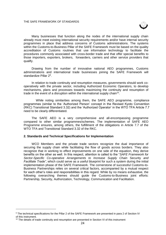

Many businesses that function along the nodes of the international supply chain already must meet existing international security requirements and/or have internal security programmes in place that address concerns of Customs administrations. The systems within the Customs-to-Business Pillar of the SAFE Framework must be based on the quality accreditation of Customs routines that use information technology to facilitate the procedures commonly associated with cross-border trade and that offer special benefits to those importers, exporters, brokers, forwarders, carriers and other service providers that qualify.

Drawing from the number of innovative national AEO programmes, Customs administrations and international trade businesses joining the SAFE Framework will standardize Pillar 2<sup>9</sup>.

In relation to trade continuity and resumption measures, governments should work cooperatively with the private sector, including Authorized Economic Operators, to develop mechanisms, plans and processes towards maximizing the continuity and resumption of trade in the event of a disruption within the international supply chain<sup>10</sup>.

While noting similarities among them, the SAFE AEO programme, compliance programmes (similar to the 'Authorized Person' concept in the Revised Kyoto Convention (RKC) Transitional Standard 3.32) and the 'Authorized Operator' in the WTO TFA Article 7.7 need to be clearly differentiated.

The SAFE AEO is a very comprehensive and all-encompassing programme compared to other similar programmes/schemes. The implementation of SAFE AEO Programme ensures, among others, the fulfillment of the obligations in Article 7.7 of the WTO TFA and Transitional Standard 3.32 of the RKC.

#### **2. Standards and Technical Specifications for Implementation**

WCO Members and the private trade sectors recognize the dual importance of securing the supply chain while facilitating the flow of goods across borders. They also recognize that in working to effect improvements on one side of the equation, they derive benefits on the other as well. In this respect, attention is called to the "*SAFE Framework for Sector-Specific Co-operative Arrangements to Increase Supply Chain* Security *and Facilitate Trade"*, which could serve as a useful blueprint for such a system during the initial implementation phase of the SAFE Framework. The cornerstone of successful Customs-to-Business Partnerships relies on several critical factors, accompanied by a mutual respect for each other's roles and responsibilities in this regard. While by no means exhaustive, the following overarching themes should guide the Customs-to-Business joint efforts: Partnership, Security, Authorization, Technology, Communication and Facilitation.

-

<sup>9</sup> The technical specifications for the Pillar 2 of the SAFE Framework are presented in para 2 of Section IV of this instrument.

 $10$  The details of trade continuity and resumption are presented in Section VI of this instrument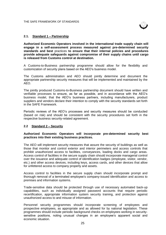

#### **2.1. Standard 1 – Partnership**

**Authorized Economic Operators involved in the international trade supply chain will engage in a self-assessment process measured against pre-determined security standards and best** practices **to ensure that their internal policies and procedures provide adequate safeguards against compromise of their supply chains until cargo is released from Customs control at destination.**

A Customs-to-Business partnership programme should allow for the flexibility and customization of security plans based on the AEO's business model.

The Customs administration and AEO should jointly determine and document the appropriate partnership security measures that will be implemented and maintained by the AEO.

The jointly produced Customs-to-Business partnership document should have written and verifiable processes to ensure, as far as possible, and in accordance with the AEO's business model, that the AEO's business partners, including manufacturers, product suppliers and vendors declare their intention to comply with the security standards set forth in the SAFE Framework.

Periodic reviews of the AEO's processes and security measures should be conducted (based on risk) and should be consistent with the security procedures set forth in the respective business security-related agreement.

#### **2.2 Standard 2 – Security**

#### **Authorized Economic Operators will incorporate pre-determined security best practices into their existing business practices.**

The AEO will implement security measures that assure the security of buildings as well as those that monitor and control exterior and interior perimeters and access controls that prohibit unauthorized access to facilities, conveyances, loading docks and cargo areas. Access control of facilities in the secure supply chain should incorporate managerial control over the issuance and adequate control of identification badges (employee, visitor, vendor, etc.) and other access devices, including keys, access cards, and other devices that allow for unfettered access to company property and assets.

Access control to facilities in the secure supply chain should incorporate prompt and thorough removal of a terminated employee's company-issued identification and access to premises and information systems.

Trade-sensitive data should be protected through use of necessary automated back-up capabilities, such as individually assigned password accounts that require periodic recertification, appropriate information system security training, and protection against unauthorized access to and misuse of information.

Personnel security programmes should incorporate screening of employees and prospective employees, as appropriate and as allowed for by national legislation. These programmes should include periodic background checks on employees working in securitysensitive positions, noting unusual changes in an employee's apparent social and economic situation.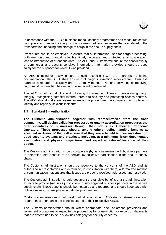

In accordance with the AEO's business model, security programmes and measures should be in place to promote the integrity of a business partner's processes that are related to the transportation, handling and storage of cargo in the secure supply chain.

Procedures should be employed to ensure that all information used for cargo processing, both electronic and manual, is legible, timely, accurate, and protected against alteration, loss or introduction of erroneous data. The AEO and Customs will ensure the confidentiality of commercial and security-sensitive information. Information provided should be used solely for the purposes for which it was provided.

An AEO shipping or receiving cargo should reconcile it with the appropriate shipping documentation. The AEO shall ensure that cargo information received from business partners is reported accurately and in a timely manner. Persons delivering or receiving cargo must be identified before cargo is received or released.

The AEO should conduct specific training to assist employees in maintaining cargo integrity, recognizing potential internal threats to security and protecting access controls. The AEO should make employees aware of the procedures the company has in place to identify and report suspicious incidents.

#### **2.3 Standard 3 – Authorization**

**The Customs administration, together with representatives from the trade community, will design validation processes or quality accreditation procedures that offer incentives to businesses through their status as Authorized Economic Operators. These processes should, among others, define tangible benefits as specified in Annex IV that will ensure that they see a benefit to their investment in good security systems and practices, including, at a minimum, fewer documentary examination and physical inspections, and expedited release/clearance of their goods.**

The Customs administration should co-operate (by various means) with business partners to determine joint benefits to be derived by collective participation in the secure supply chain.

The Customs administration should be receptive to the concerns of the AEO and its authorized representatives and determine, in consultation with them, a formalized method of communication that ensures that issues are properly received, addressed and resolved.

The Customs administration should document the tangible benefits that the administration expects to provide (within its jurisdiction) to fully engaged business partners in the secure supply chain. These benefits should be measured and reported, and should keep pace with obligations as Customs phase in national programmes.

Customs administrations should seek mutual recognition of AEO status between or among programmes to enhance the benefits offered to their respective AEOs.

The Customs administration should, where appropriate, seek or amend provisions and implement procedures to expedite the processing for consumption or export of shipments that are determined to be in a low-risk category for security concerns.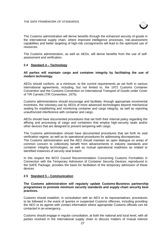

The Customs administration will derive benefits through the enhanced security of goods in the international supply chain, where improved intelligence processes, risk-assessment capabilities and better targeting of high-risk consignments will lead to the optimized use of resources.

The Customs administration, as well as AEOs, will derive benefits from the use of selfassessment and verification.

#### **2.4 Standard 4 – Technology**

#### **All parties will maintain cargo and container integrity by facilitating the use of modern technology.**

AEOs should conform, at a minimum, to the current requirements as set forth in various international agreements, including, but not limited to, the 1972 Customs Container Convention and the Customs Convention on International Transport of Goods under Cover of TIR Carnets (TIR Convention, 1975).

Customs administrations should encourage and facilitate, through appropriate incremental incentives, the voluntary use by AEOs of more advanced technologies beyond mechanical sealing for establishing and monitoring container and cargo integrity, as well as reporting unauthorized interference with container and cargo.

AEOs should have documented procedures that set forth their internal policy regarding the affixing and processing of cargo and containers that employ high-security seals and/or other devices that are designed to prevent tampering with cargo.

The Customs administration should have documented procedures that set forth its seal verification regime, as well as its operational procedures for addressing discrepancies. The Customs administration and the AEO should maintain an open dialogue on areas of common concern to collectively benefit from advancements in industry standards and container integrity technologies, as well as mutual operational readiness as related to identified instances of security seal breach.

In this respect the WCO Council Recommendation Concerning Customs Formalities in Connection with the Temporary Admission of Container Security Devices; reproduced in the SAFE Package, provides the basis for facilitation of the temporary admission of these devices

#### **2.5 Standard 5 – Communication**

#### **The Customs administration will regularly update Customs-Business partnership programmes to promote minimum security standards and supply chain security best practices.**

Customs should establish, in consultation with an AEO or its representatives, procedures to be followed in the event of queries or suspected Customs offences, including providing the AEO or its agents with contact information where appropriate Customs officials can be contacted in an emergency.

Customs should engage in regular consultation, at both the national and local level, with all parties involved in the international supply chain to discuss matters of mutual interest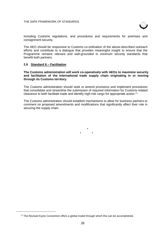

including Customs regulations, and procedures and requirements for premises and consignment security.

The AEO should be responsive to Customs co-ordination of the above-described outreach efforts and contribute to a dialogue that provides meaningful insight to ensure that the Programme remains relevant and well-grounded in minimum security standards that benefit both partners.

#### **2.6 Standard 6 – Facilitation**

-

**The Customs administration will work co-operatively with AEOs to maximize security and facilitation of the international trade supply chain originating in or moving through its Customs territory.**

The Customs administration should seek or amend provisions and implement procedures that consolidate and streamline the submission of required information for Customs-related clearance to both facilitate trade and identify high-risk cargo for appropriate action.<sup>11</sup>

The Customs administration should establish mechanisms to allow for business partners to comment on proposed amendments and modifications that significantly affect their role in securing the supply chain.

> \* \* \*

<sup>&</sup>lt;sup>11</sup> The Revised Kyoto Convention offers a global model through which this can be accomplished.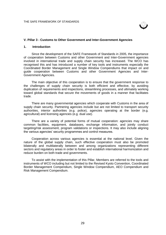

#### **V. Pillar 3 - Customs to Other Government and Inter-Government Agencies**

#### **1. Introduction**

Since the development of the SAFE Framework of Standards in 2005, the importance of cooperation between Customs and other Government and Inter-Government agencies involved in international trade and supply chain security has increased. The WCO has recognised this and has introduced a number of key tools and instruments especially the Coordinated Border Management and Single Window Compendiums that impact on and guide cooperation between Customs and other Government Agencies and Inter-Government Agencies.

The main objective of this cooperation is to ensure that the government response to the challenges of supply chain security is both efficient and effective, by avoiding duplication of requirements and inspections, streamlining processes, and ultimately working toward global standards that secure the movements of goods in a manner that facilitates trade.

There are many governmental agencies which cooperate with Customs in the area of supply chain security. Partnering agencies include but are not limited to transport security authorities, interior authorities (e.g. police), agencies operating at the border (e.g. agricultural) and licensing agencies (e.g. dual use).

There are a variety of potential forms of mutual cooperation: agencies may share common facilities, equipment, databases, exchange information, and jointly conduct targeting/risk assessment, program validations or inspections. It may also include aligning the various agencies' security programmes and control measures.

Cooperation across various agencies is essential at the national level. Given the nature of the global supply chain, such effective cooperation must also be promoted bilaterally and multilaterally between and among organizations representing different sectors and regulatory areas in order to foster and establish international harmonization and reduce burden on both trade and governments.

To assist with the implementation of this Pillar, Members are referred to the tools and instruments of WCO including but not limited to the Revised Kyoto Convention, Coordinated Border Management Compendium, Single Window Compendium, AEO Compendium and Risk Management Compendium.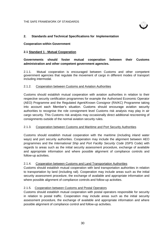

#### **2. Standards and Technical Specifications for Implementation**

#### **Cooperation within Government**

#### **2.1 Standard 1 - Mutual Cooperation**

**Governments should foster mutual cooperation between their Customs administration and other competent government agencies.**

2.1.1. Mutual cooperation is encouraged between Customs and other competent government agencies that regulate the movement of cargo in different modes of transport including intermodal.

#### 2.1.2. Cooperation between Customs and Aviation Authorities

Customs should establish mutual cooperation with aviation authorities in relation to their respective security certification programmes for example the Authorised Economic Operator (AEO) Programme and the Regulated Agent/Known Consignor (RA/KC) Programme taking into account each Member's situation. Customs should encourage aviation security authorities to recognise the role consignment level Customs risk analysis may play in air cargo security. This Customs risk analysis may occasionally direct additional rescreening of consignments outside of the normal aviation security rules.

#### 2.1.3. Cooperation between Customs and Maritime and Port Security Authorities

Customs should establish mutual cooperation with the maritime (including inland water ways) and port security authorities. Cooperation may include the alignment between AEO programmes and the *International Ship and Port Facility Security Code* (ISPS Code) with regards to areas such as the initial security assessment procedure, exchange of available and appropriate information and where possible alignment of compliance controls and follow-up activities.

#### 2.1.4. Cooperation between Customs and Land Transportation Authorities

Customs should establish mutual cooperation with land transportation authorities in relation to transportation by land (including rail). Cooperation may include areas such as the initial security assessment procedure, the exchange of available and appropriate information and where possible alignment of compliance controls and follow-up activities.

#### 2.1.5. Cooperation between Customs and Postal Operators

Customs should establish mutual cooperation with postal operators responsible for security in relation to postal traffic. Cooperation may include areas such as the initial security assessment procedure, the exchange of available and appropriate information and where possible alignment of compliance control and follow-up activities.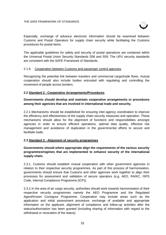

Especially, exchange of advance electronic information should be examined between Customs and Postal Operators for supply chain security while facilitating the Customs procedures for postal items.

The applicable guidelines for safety and security of postal operations are contained within the Universal Postal Union Security Standards S58 and S59. The UPU security standards are consistent with the SAFE Framework of Standards.

## 2.1.6. Cooperation between Customs and passenger control agencies

Recognizing the potential link between travelers and commercial cargo/trade flows, mutual cooperation should also include bodies entrusted with regulating and controlling the movement of people across borders.

## **2.2 Standard 2 - Cooperative Arrangements/Procedures**

# **Governments should develop and maintain cooperative arrangements or procedures among their agencies that are involved in international trade and security.**

2.2.1.Mechanisms should be established for ensuring inter-agency coordination to improve the efficiency and effectiveness of the supply chain security measures and operation. These mechanisms should allow for the alignment of functions and responsibilities amongst agencies in order to ensure efficient operations, optimal data quality, effective risk management and avoidance of duplication in the governmental efforts to secure and facilitate trade.

# **2.3 Standard 3 - Alignment of security programmes**

# **Governments should where appropriate align the requirements of the various security programmes/regimes that are implemented to enhance security of the international supply chain.**

2.3.1. Customs should establish mutual cooperation with other government agencies in relation to their respective security programmes. As part of this process of harmonisation, governments should ensure that Customs and other agencies work together to align their processes for assessment and validation of secure operators (e.g. AEO, RA/KC, ISPS Code, Internal Compliance Programme (ICP)).

2.3.2.In the area of air cargo security, authorities should work towards harmonisation of their respective security programmes namely the AEO Programme and the Regulated Agent/Known Consignor Programme. Cooperation may include areas such as the application and initial assessment procedure, exchange of available and appropriate information on the applicant, alignment of compliance and follow-up activities after the status/authorisation has been granted (including sharing of information with regard to the withdrawal or revocation of the status).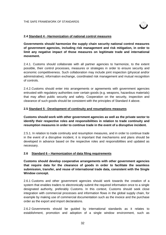

## **2.4 Standard 4 - Harmonization of national control measures**

**Governments should harmonize the supply chain security national control measures of government agencies, including risk management and risk mitigation, in order to limit any negative impact of those measures on legitimate trade and international movement.**

2.4.1. Customs should collaborate with all partner agencies to harmonize, to the extent possible, their control processes, measures or strategies in order to ensure security and economic competitiveness. Such collaboration may include joint inspection (physical and/or administrative), information exchange, coordinated risk management and mutual recognition of controls.

2.4.2.Customs should enter into arrangements or agreements with government agencies entrusted with regulatory authorities over certain goods (e.g. weapons, hazardous materials) that may affect public security and safety. Cooperation on the security, inspection and clearance of such goods should be consistent with the principles of Standard 4 above.

## **2.5 Standard 5 - Development of continuity and resumptions measures**

**Customs should work with other government agencies as well as the private sector to identify their respective roles and responsibilities in relation to trade continuity and resumption measures in order to continue trade in the event of a disruptive incident.**

2.5.1. In relation to trade continuity and resumption measures, and in order to continue trade in the event of a disruptive incident, it is important that mechanisms and plans should be developed in advance based on the respective roles and responsibilities and updated as necessary.

## **2.6 Standard 6 – Harmonization of data filing requirements**

**Customs should develop cooperative arrangements with other government agencies that require data for the clearance of goods in order to facilitate the seamless submission, transfer, and reuse of international trade data, consistent with the Single Window concept.**

2.6.1 Customs and other government agencies should work towards the creation of a system that enables traders to electronically submit the required information once to a single designated authority, preferably Customs. In this context, Customs should seek close integration with commercial processes and information flows in the global supply chain, for example by making use of commercial documentation such as the invoice and the purchase order as the export and import declarations.

2.6.2 Governments should be guided by international standards as it relates to establishment, promotion and adoption of a single window environment, such as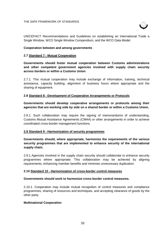#### THE SAFE FRAMEWORK OF STANDARDS



UN/CEFACT Recommendations and Guidelines on establishing an International Trade a Single Window, WCO Single Window Compendium, and the WCO Data Model.

#### **Cooperation between and among governments**

#### **2.7 Standard 7 - Mutual Cooperation**

**Governments should foster mutual cooperation between Customs administrations and other competent government agencies involved with supply chain security across borders or within a Customs Union**

2.7.1. This mutual cooperation may include exchange of information, training, technical assistance, capacity building, alignment of business hours where appropriate and the sharing of equipment.

#### **2.8 Standard 8 - Development of Cooperative Arrangements or Protocols**

**Governments should develop cooperative arrangements or protocols among their agencies that are working side by side on a shared border or within a Customs Union.**

2.8.1. Such collaboration may require the signing of memorandums of understanding, Customs Mutual Assistance Agreements (CMAA) or other arrangements in order to achieve coordinated cross-border management functions.

#### **2.9 Standard 9 - Harmonization of security programmes**

**Governments should, where appropriate, harmonize the requirements of the various security programmes that are implemented to enhance security of the international supply chain.**

2.9.1.Agencies involved in the supply chain security should collaborate to enhance security programmes where appropriate. This collaboration may be achieved by aligning requirements, enhancing member benefits and minimise unnecessary duplication.

## **2.10 Standard 10 - Harmonization of cross-border control measures**

#### **Governments should work to harmonize cross-border control measures.**

2.10.1. Cooperation may include mutual recognition of control measures and compliance programmes, sharing of resources and techniques, and accepting clearance of goods by the other party.

## **Multinational Cooperation**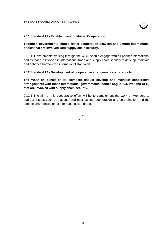

## **2.11 Standard 11 - Establishment of Mutual Cooperation**

## **Together, governments should foster cooperation between and among international bodies that are involved with supply chain security.**

2.11.1. Governments working through the WCO should engage with all partner international bodies that are involved in international trade and supply chain security to develop, maintain and enhance harmonized international standards.

#### **2.12 Standard 12 - Development of cooperative arrangements or protocols**

**The WCO on behalf of its Members should develop and maintain cooperative arrangements with those international governmental bodies (e.g. ICAO, IMO and UPU) that are involved with supply chain security.**

2.12.1 The aim of this cooperative effort will be to complement the work of Members to address issues such as national and multinational cooperation and co-ordination and the adoption/harmonisation of international standards.

> \* \* \*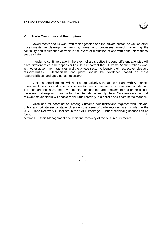

#### **VI. Trade Continuity and Resumption**

Governments should work with their agencies and the private sector, as well as other governments, to develop mechanisms, plans, and processes toward maximizing the continuity and resumption of trade in the event of disruption of and within the international supply chain.

In order to continue trade in the event of a disruptive incident, different agencies will have different roles and responsibilities. It is important that Customs Administrations work with other government agencies and the private sector to identify their respective roles and responsibilities. Mechanisms and plans should be developed based on those responsibilities, and updated as necessary.

Customs administrations will work co-operatively with each other and with Authorized Economic Operators and other businesses to develop mechanisms for information sharing. This supports business and governmental priorities for cargo movement and processing in the event of disruption of and within the international supply chain. Cooperation among all relevant stakeholders will enable rapid trade recovery in a holistic and coordinated manner.

Guidelines for coordination among Customs administrations together with relevant public and private sector stakeholders on the issue of trade recovery are included in the WCO Trade Recovery Guidelines in the SAFE Package. Further technical guidance can be found **in the contract of the contract of the contract of the contract of the contract of the contract of the contract of the contract of the contract of the contract of the contract of the contract of the contract of the** 

section L - Crisis Management and Incident Recovery of the AEO requirements.

\* \* \*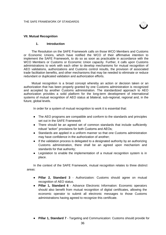

#### **VII. Mutual Recognition**

#### **1. Introduction**

The Resolution on the SAFE Framework calls on those WCO Members and Customs or Economic Unions, which have notified the WCO of their affirmative intention to implement the SAFE Framework, to do so as soon as practicable in accordance with the WCO Members or Customs or Economic Union capacity. Further, it calls upon Customs administrations to work with each other to develop mechanisms for mutual recognition of AEO validations, authorizations and Customs control results, the provision of associated trade facilitation benefits, and other mechanisms that may be needed to eliminate or reduce redundant or duplicated validation and authorization efforts.

Mutual recognition is a broad concept whereby an action or decision taken or an authorization that has been properly granted by one Customs administration is recognized and accepted by another Customs administration. The standardized approach to AEO authorization provides a solid platform for the long-term development of international systems of mutual recognition of AEO status at bilateral, sub-regional, regional and, in the future, global levels.

In order for a system of mutual recognition to work it is essential that:

- The AEO programs are compatible and conform to the standards and principles set out in the SAFE Framework
- There should be an agreed set of common standards that include sufficiently robust "action" provisions for both Customs and AEOs;
- Standards are applied in a uniform manner so that one Customs administration may have confidence in the authorization of another;
- If the validation process is delegated to a designated authority by an authorizing Customs administration, there shall be an agreed upon mechanism and standards for that authority;
- Legislation to enable the implementation of a mutual recognition system is in place.

In the context of the SAFE Framework, mutual recognition relates to three distinct areas:

- **Pillar 2, Standard 3** Authorization: Customs should agree on mutual recognition of AEO status.
- **Pillar 1, Standard 6** Advance Electronic Information: Economic operators should also benefit from mutual recognition of digital certificates, allowing the economic operator to submit all electronic messages to those Customs administrations having agreed to recognize this certificate.
- **Pillar 1, Standard 7** Targeting and Communication: Customs should provide for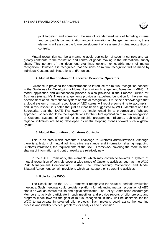

joint targeting and screening, the use of standardized sets of targeting criteria, and compatible communication and/or information exchange mechanisms; these elements will assist in the future development of a system of mutual recognition of controls.

Mutual recognition can be a means to avoid duplication of security controls and can greatly contribute to the facilitation and control of goods moving in the international supply chain. This portion of the document examines options for establishment of mutual recognition. However, it is recognized that decisions on mutual recognition will be made by individual Customs administrations and/or unions.

#### **2. Mutual Recognition of Authorized Economic Operators**

Guidance is provided for administrations to introduce the mutual recognition concept in the Guidelines for Developing a Mutual Recognition Arrangement/Agreement (MRA). A model application and authorization process is also provided in the Process Outline for Business (Annex IV). These arrangements provide an excellent foundation for the eventual development of an international system of mutual recognition. It must be acknowledged that a global system of mutual recognition of AEO status will require some time to accomplish and, in this respect, it is noted that just as it has been suggested by WCO Members and the Secretariat that the SAFE Framework be implemented in a progressively "phased approach", so too should be the expectations for the future application of mutual recognition of Customs systems of control for partnership programmes. Bilateral, sub-regional or regional initiatives are being developed as useful stepping stones toward such a global system.

#### **3. Mutual Recognition of Customs Controls**

This is an area which presents a challenge to Customs administrations. Although there is a history of mutual administrative assistance and information sharing regarding Customs infractions, the requirements of the SAFE Framework covering the more routine sharing of information and control results are relatively new.

In the SAFE Framework, the elements which may contribute towards a system of mutual recognition of controls cover a wide range of Customs activities, such as the WCO Risk Management Compendium. Further, the Johannesburg Convention and Model Bilateral Agreement contain provisions which can support joint screening activities.

#### **4. Role for the WCO**

The Resolution on the SAFE Framework recognizes the value of periodic evaluation meetings. Such meetings could provide a platform for advancing mutual recognition of AEO status as well as control results and digital certificates. The Policy Commission encourages Members to actively participate in such meetings and provide reports of pilot projects and progress made towards the goal of mutual recognition. It may well be desirable for the WCO to participate in selected pilot projects. Such projects could assist the learning process and identify practical problems for analysis and discussion.

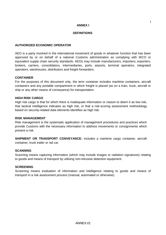## **ANNEX I**

## **DEFINITIONS**

## **AUTHORIZED ECONOMIC OPERATOR**

AEO is a party involved in the international movement of goods in whatever function that has been approved by or on behalf of a national Customs administration as complying with WCO or equivalent supply chain security standards. AEOs may include manufacturers, importers, exporters, brokers, carriers, consolidators, intermediaries, ports, airports, terminal operators, integrated operators, warehouses, distributors and freight forwarders.

## **CONTAINER**

For the purposes of this document only, the term container includes maritime containers, aircraft containers and any portable compartment in which freight is placed (as on a train, truck, aircraft or ship or any other means of conveyance) for transportation.

#### **HIGH RISK CARGO**

High risk cargo is that for which there is inadequate information or reason to deem it as low-risk, that tactical intelligence indicates as high risk, or that a risk-scoring assessment methodology based on security-related data elements identifies as high risk.

#### **RISK MANAGEMENT**

Risk management is the systematic application of management procedures and practices which provide Customs with the necessary information to address movements or consignments which present a risk.

**SHIPMENT OR TRANSPORT CONVEYANCE:** includes a maritime cargo container, aircraft container, truck trailer or rail car.

## **SCANNING**

Scanning means capturing information (which may include images or radiation signatures) relating to goods and means of transport by utilising non-intrusive detection equipment.

#### **SCREENING**

Screening means evaluation of information and intelligence relating to goods and means of transport in a risk assessment process (manual, automated or otherwise).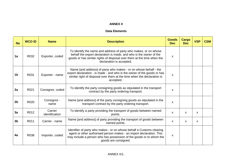# **ANNEX II**

# **Data Elements**

| <b>No</b>      | <b>WCO ID</b> | <b>Name</b>               | <b>Description</b>                                                                                                                                                                                                                           | <b>Goods</b><br><b>Dec</b> | <b>Cargo</b><br><b>Dec</b> | <b>VSP</b>   | <b>CSM</b> |
|----------------|---------------|---------------------------|----------------------------------------------------------------------------------------------------------------------------------------------------------------------------------------------------------------------------------------------|----------------------------|----------------------------|--------------|------------|
| 1a             | R032          | Exporter, coded           | To identify the name and address of party who makes, or on whose<br>behalf the export declaration is made, and who is the owner of the<br>goods or has similar rights of disposal over them at the time when the<br>declaration is accepted. |                            |                            |              |            |
| 1 <sub>b</sub> | R031          | Exporter - name           | Name [and address] of party who makes - or on whose behalf - the<br>export declaration - is made - and who is the owner of the goods or has<br>similar right of disposal over them at the time when the declaration is<br>accepted.          |                            |                            |              |            |
| 2a             | R021          | Consignor, coded          | To identify the party consigning goods as stipulated in the transport<br>contract by the party ordering transport.                                                                                                                           | X                          |                            |              |            |
| 2 <sub>b</sub> | R020          | Consignor -<br>name       | Name [and address] of the party consigning goods as stipulated in the<br>transport contract by the party ordering transport.                                                                                                                 | X                          |                            |              |            |
| 3a             | R012          | Carrier<br>identification | To identify a party providing the transport of goods between named<br>points.                                                                                                                                                                | $\mathsf{x}$               | $\mathsf{x}$               | X            |            |
| 3 <sub>b</sub> | R011          | Carrier - name            | Name [and address] of party providing the transport of goods between<br>named points.                                                                                                                                                        | X                          | $\mathsf{x}$               | $\mathsf{x}$ |            |
| 4a             | R038          | Importer, coded           | Identifier of party who makes - or on whose behalf a Customs clearing<br>agent or other authorised person makes - an import declaration. This<br>may include a person who has possession of the goods or to whom the<br>goods are consigned. | X                          |                            |              |            |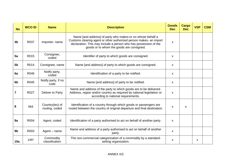| <b>No</b>      | <b>WCO ID</b> | <b>Name</b>                       | <b>Description</b>                                                                                                                                                                                                                                | <b>Goods</b><br><b>Dec</b> | <b>Cargo</b><br><b>Dec</b> | <b>VSP</b> | <b>CSM</b> |
|----------------|---------------|-----------------------------------|---------------------------------------------------------------------------------------------------------------------------------------------------------------------------------------------------------------------------------------------------|----------------------------|----------------------------|------------|------------|
| 4 <sub>b</sub> | R037          | Importer- name                    | Name [and address] of party who makes-or on whose behalf a<br>Customs clearing agent or other authorized person makes- an import<br>declaration. This may include a person who has possession of the<br>goods or to whom the goods are consigned. |                            |                            |            |            |
| 5a             | R015          | Consignee,<br>coded               | Identifier of party to which goods are consigned.                                                                                                                                                                                                 |                            |                            |            |            |
| 5 <sub>b</sub> | R014          | Consignee, name                   | Name [and address] of party to which goods are consigned.                                                                                                                                                                                         | $\boldsymbol{\mathsf{x}}$  |                            |            |            |
| 6a             | R046          | Notify party,<br>coded            | Identification of a party to be notified.                                                                                                                                                                                                         |                            |                            |            |            |
| 6 <sub>b</sub> | R045          | Notify party, if no<br>code       | Name [and address] of party to be notified.                                                                                                                                                                                                       |                            |                            |            |            |
| 7              | R027          | Deliver to Party                  | Name and address of the party to which goods are to be delivered.<br>Address, region and/or country as required by national legislation or<br>according to national requirements.                                                                 | X                          |                            |            |            |
| 8              | 064           | Country(ies) of<br>routing, coded | Identification of a country through which goods or passengers are<br>routed between the country of original departure and final destination.                                                                                                      | X                          | $\boldsymbol{\mathsf{x}}$  |            |            |
| 9a             | R004          | Agent, coded                      | Identification of a party authorised to act on behalf of another party.                                                                                                                                                                           | X                          |                            |            |            |
| 9 <sub>b</sub> | R003          | Agent – name                      | Name and address of a party authorised to act on behalf of another<br>party.                                                                                                                                                                      |                            |                            |            |            |
| 10a            | $145*$        | Commodity<br>classification       | The non-commercial categorization of a commodity by a standard-<br>setting organization.                                                                                                                                                          | $\mathsf{x}$               |                            | X          |            |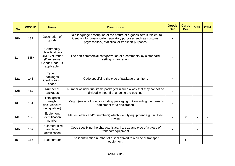| <b>No</b>       | <b>WCO ID</b> | <b>Name</b>                                                                                         | <b>Description</b>                                                                                                                                                                               | <b>Goods</b><br><b>Dec</b> | <b>Cargo</b><br><b>Dec</b> | <b>VSP</b> | <b>CSM</b>   |
|-----------------|---------------|-----------------------------------------------------------------------------------------------------|--------------------------------------------------------------------------------------------------------------------------------------------------------------------------------------------------|----------------------------|----------------------------|------------|--------------|
| 10 <sub>b</sub> | 137           | Description of<br>goods                                                                             | Plain language description of the nature of a goods item sufficient to<br>identify it for cross-border regulatory purposes such as customs,<br>phytosanitary, statistical or transport purposes. |                            |                            |            |              |
| 11              | $145*$        | Commodity<br>classification -<br><b>UNDG Number</b><br>(Dangerous<br>Goods Code), If<br>applicable. | The non-commercial categorization of a commodity by a standard-<br>setting organization.                                                                                                         |                            |                            |            |              |
| 12a             | 141           | Type of<br>packages<br>identification,<br>coded                                                     | Code specifying the type of package of an item.                                                                                                                                                  |                            |                            |            |              |
| 12 <sub>b</sub> | 144           | Number of<br>packages                                                                               | Number of individual items packaged in such a way that they cannot be<br>divided without first undoing the packing.                                                                              | X                          |                            |            |              |
| 13              | 131           | Total gross<br>weight<br>(incl Measure<br>unit qualifier)                                           | Weight (mass) of goods including packaging but excluding the carrier's<br>equipment for a declaration.                                                                                           | X                          |                            |            |              |
| 14a             | 159           | Equipment<br>Identification<br>number                                                               | Marks (letters and/or numbers) which identify equipment e.g. unit load<br>device.                                                                                                                | X                          | $\boldsymbol{\mathsf{x}}$  | X          | $\mathsf{x}$ |
| 14 <sub>b</sub> | 152           | <b>Equipment size</b><br>and type<br>identification                                                 | Code specifying the characteristics, i.e. size and type of a piece of<br>transport equipment.                                                                                                    | X                          | $\mathsf{x}$               | X          |              |
| 15              | 165           | Seal number                                                                                         | The identification number of a seal affixed to a piece of transport<br>equipment.                                                                                                                | $\boldsymbol{\mathsf{x}}$  | $\boldsymbol{\mathsf{x}}$  |            |              |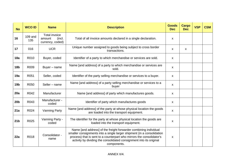| <b>No</b>       | <b>WCO ID</b>  | <b>Name</b>                                                  | <b>Description</b>                                                                                                                                                                                                                                                                                        | <b>Goods</b><br><b>Dec</b> | Cargo<br><b>Dec</b>       | <b>VSP</b> | <b>CSM</b> |
|-----------------|----------------|--------------------------------------------------------------|-----------------------------------------------------------------------------------------------------------------------------------------------------------------------------------------------------------------------------------------------------------------------------------------------------------|----------------------------|---------------------------|------------|------------|
| 16              | 109 and<br>135 | <b>Total invoice</b><br>amount<br>(incl.<br>currency, coded) | Total of all invoice amounts declared in a single declaration.                                                                                                                                                                                                                                            | $\mathsf{x}$               |                           |            |            |
| 17              | 016            | <b>UCR</b>                                                   | Unique number assigned to goods being subject to cross border<br>transactions.                                                                                                                                                                                                                            | $\boldsymbol{\mathsf{x}}$  | $\boldsymbol{\mathsf{x}}$ |            |            |
| 18a             | R010           | Buyer, coded                                                 | Identifier of a party to which merchandise or services are sold.                                                                                                                                                                                                                                          | $\mathsf{x}$               |                           |            |            |
| 18 <sub>b</sub> | R009           | Buyer - name                                                 | Name [and address] of a party to which merchandise or services are<br>sold.                                                                                                                                                                                                                               | X                          |                           |            |            |
| 19a             | R051           | Seller, coded                                                | Identifier of the party selling merchandise or services to a buyer.                                                                                                                                                                                                                                       | $\boldsymbol{\mathsf{x}}$  |                           |            |            |
| 19 <sub>b</sub> | R050           | Seller - name                                                | Name [and address] of a party selling merchandise or services to a<br>buyer                                                                                                                                                                                                                               | $\boldsymbol{\mathsf{x}}$  |                           |            |            |
| 20a             | R042           | Manufacturer                                                 | Name [and address] of party which manufactures goods.                                                                                                                                                                                                                                                     | $\boldsymbol{\mathsf{x}}$  |                           |            |            |
| 20 <sub>b</sub> | R043           | Manufacturer -<br>coded                                      | Identifier of party which manufactures goods                                                                                                                                                                                                                                                              | $\boldsymbol{\mathsf{x}}$  |                           |            |            |
| 21a             | R024           | <b>Vanning Party</b>                                         | Name [and address] of the party at whose physical location the goods<br>are loaded into the transport equipment.                                                                                                                                                                                          | x                          |                           |            |            |
| 21 <sub>b</sub> | R025           | Vanning Party -<br>coded                                     | The identifier for the party at whose physical location the goods are<br>loaded into the transport equipment.                                                                                                                                                                                             | X                          |                           |            |            |
| 22a             | R018           | Consolidator -<br>name                                       | Name [and address] of the freight forwarder combining individual<br>smaller consignments into a single larger shipment (in a consolidation<br>process) that is sent to a counterpart who mirrors the consolidator's<br>activity by dividing the consolidated consignment into its original<br>components. | $\mathsf{x}$               |                           |            |            |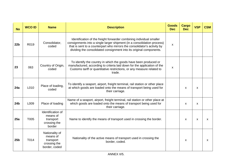| <b>No</b>       | <b>WCO ID</b> | <b>Name</b><br><b>Description</b>                                                                                                            |                                                                                                                                                                                                                                                                                                    | <b>Goods</b><br><b>Dec</b> | Cargo<br><b>Dec</b>       | <b>VSP</b>                | <b>CSM</b> |
|-----------------|---------------|----------------------------------------------------------------------------------------------------------------------------------------------|----------------------------------------------------------------------------------------------------------------------------------------------------------------------------------------------------------------------------------------------------------------------------------------------------|----------------------------|---------------------------|---------------------------|------------|
| 22 <sub>b</sub> | R019          | Consolidator,<br>coded                                                                                                                       | Identification of the freight forwarder combining individual smaller<br>consignments into a single larger shipment (in a consolidation process)<br>that is sent to a counterpart who mirrors the consolidator's activity by<br>dividing the consolidated consignment into its original components. |                            |                           |                           |            |
| 23              | 063           | Country of Origin,<br>coded                                                                                                                  | To identify the country in which the goods have been produced or<br>manufactured, according to criteria laid down for the application of the<br>Customs tariff or quantitative restrictions, or any measure related to<br>trade.                                                                   |                            |                           |                           |            |
| 24a             | L010          | Place of loading,<br>coded                                                                                                                   | To identify a seaport, airport, freight terminal, rail station or other place<br>at which goods are loaded onto the means of transport being used for<br>their carriage.                                                                                                                           |                            | X                         | $\boldsymbol{\mathsf{x}}$ |            |
| 24 <sub>b</sub> | L009          | Place of loading                                                                                                                             | Name of a seaport, airport, freight terminal, rail station or other place at<br>which goods are loaded onto the means of transport being used for<br>their carriage.                                                                                                                               |                            | $\boldsymbol{\mathsf{x}}$ | $\boldsymbol{\mathsf{x}}$ |            |
| 25a             | T005          | Identification of<br>means of<br>Name to identify the means of transport used in crossing the border.<br>transport<br>crossing the<br>border |                                                                                                                                                                                                                                                                                                    |                            | $\boldsymbol{\mathsf{x}}$ | X                         | X          |
| 25 <sub>b</sub> | T014          | Nationality of<br>means of<br>transport<br>crossing the<br>border, coded                                                                     | Nationality of the active means of transport used in crossing the<br>border, coded.                                                                                                                                                                                                                |                            | $\boldsymbol{\mathsf{x}}$ |                           | X          |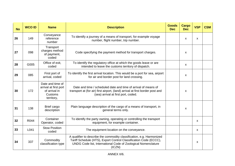| <b>No</b> | <b>WCO ID</b> | <b>Name</b>                                                                         | <b>Description</b>                                                                                                                                                                                                    | <b>Goods</b><br><b>Dec</b> | Cargo<br><b>Dec</b>       | <b>VSP</b> | <b>CSM</b> |
|-----------|---------------|-------------------------------------------------------------------------------------|-----------------------------------------------------------------------------------------------------------------------------------------------------------------------------------------------------------------------|----------------------------|---------------------------|------------|------------|
| 26        | 149           | Conveyance<br>reference<br>number                                                   | To identify a journey of a means of transport, for example voyage<br>number, flight number, trip number.                                                                                                              |                            | $\boldsymbol{\mathsf{x}}$ | X          |            |
| 27        | 098           | Transport<br>charges method<br>of payment,<br>coded                                 | Code specifying the payment method for transport charges.                                                                                                                                                             |                            | $\boldsymbol{\mathsf{x}}$ |            |            |
| 28        | G005          | Office of exit,<br>coded                                                            | To identify the regulatory office at which the goods leave or are<br>intended to leave the customs territory of dispatch.                                                                                             |                            | $\boldsymbol{\mathsf{x}}$ |            |            |
| 29        | 085           | First port of<br>arrival, coded                                                     | To identify the first arrival location. This would be a port for sea, airport<br>for air and border post for land crossing.                                                                                           |                            | $\boldsymbol{\mathsf{x}}$ |            |            |
| 30        | 172           | Date and time of<br>arrival at first port<br>of arrival in<br>Customs<br>territory, | Date and time / scheduled date and time of arrival of means of<br>transport at (for air) first airport, (land) arrival at first border post and<br>(sea) arrival at first port, coded.                                |                            | X                         |            |            |
| 31        | 138           | Brief cargo<br>description                                                          | Plain language description of the cargo of a means of transport, in<br>general terms only.                                                                                                                            |                            | X                         |            |            |
| 32        | R044          | Container<br>Operator, coded                                                        | To identify the party owning, operating or controlling the transport<br>equipment, for example container.                                                                                                             |                            |                           | X          |            |
| 33        | L041          | <b>Stow Position</b><br>coded                                                       | The equipment location on the conveyance.                                                                                                                                                                             |                            |                           | X          |            |
| 34        | 337           | Commodity<br>classification type                                                    | A qualifier to describe the commodity classification, e.g. Harmonized<br>Tariff Schedule (HTS), Export Control Classification Code (ECCC),<br>UNDG Code list, International Code of Zoological Nomenclature<br>(ICZN) |                            |                           | X          |            |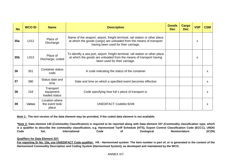| <b>No</b>       | <b>WCO ID</b> | <b>Name</b>                               | <b>Description</b>                                                                                                                                                                         | <b>Goods</b><br><b>Dec</b> | <b>Cargo</b><br><b>Dec</b> | <b>VSP</b> | <b>CSM</b> |
|-----------------|---------------|-------------------------------------------|--------------------------------------------------------------------------------------------------------------------------------------------------------------------------------------------|----------------------------|----------------------------|------------|------------|
| 35a             | L012          | Place of<br>Discharge                     | Name of the seaport, airport, freight terminal, rail station or other place<br>at which the goods (cargo) are unloaded from the means of transport<br>having been used for their carriage. |                            |                            | X          |            |
| 35 <sub>b</sub> | L013          | Place of<br>Discharge, coded              | To identify a sea port, airport, freight terminal, rail station or other place<br>at which the goods are unloaded from the means of transport having<br>been used for their carriage.      |                            |                            | X          |            |
| 36              | 351           | <b>Container status</b><br>code           | A code indicating the status of the container                                                                                                                                              |                            |                            |            | X          |
| 37              | 380           | Status date and<br>time                   | Date and time on which a specified event becomes effective                                                                                                                                 |                            |                            |            | X          |
| 38              | 154           | Transport<br>equipment<br>loaded status   | Code specifying how full s piece of transport is.                                                                                                                                          |                            |                            |            | x          |
| 39              | Various       | Location where<br>the event took<br>place | <b>UNEDIFACT Codelist 8249</b>                                                                                                                                                             |                            |                            |            | X          |

**Note 1: The text version of the data element may be provided, if the coded data element is not available.**

**\*Note 2: Data element 145 (Commodity Classification) is required to be reported along with Data element 337 (Commodity classification type, which is a qualifier to describe the commodity classification, e.g. Harmonized Tariff Schedule (HTS), Export Control Classification Code (ECCC), UNDG Code list, International Code of Zoological Nomenclature (ICZN)**

#### **Qualifiers for Data Element 337:**

**For reporting Sr No. 10a, use UN/EDIFACT Code qualifier: HS -** *Harmonised system:* **The item number is part of, or is generated in the context of the Harmonised Commodity Description and Coding System (Harmonised System), as developed and maintained by the WCO.**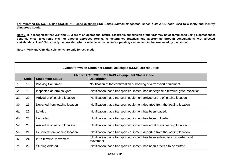**For reporting Sr. No. 11, use UN/EDIFACT code qualifier: SSO** *United Nations Dangerous Goods List:* **A UN code used to classify and identify dangerous goods.** 

**Note 3: It is recognized that VSP and CSM are of an operational nature. Electronic submission of the VSP may be accomplished using a spreadsheet sent via email (electronic mail) or another approved format, as determined practical and appropriate through consultations with affected stakeholders. The CSM can only be provided when available in the carrier's operating system and in the form used by the carrier.**

**Note 4: VSP and CSM data elements are only for sea mode**

|                | Events for which Container Status Messages (CSMs) are required: |                                                        |                                                                                            |  |  |  |  |  |
|----------------|-----------------------------------------------------------------|--------------------------------------------------------|--------------------------------------------------------------------------------------------|--|--|--|--|--|
|                |                                                                 | <b>UNEDIFACT CODELIST 8249 - Equipment Status Code</b> |                                                                                            |  |  |  |  |  |
|                | <b>Code</b>                                                     | <b>Equipment Status</b>                                | <b>Description</b>                                                                         |  |  |  |  |  |
|                | 18                                                              | <b>Booking Confirmed</b>                               | Notification of the confirmation of booking of a transport equipment.                      |  |  |  |  |  |
| $\overline{2}$ | 19                                                              | Inspected at terminal gate                             | Notification that a transport equipment has undergone a terminal gate inspection.          |  |  |  |  |  |
| 3a             | 20                                                              | Arrived at offloading location                         | Notification that a transport equipment arrived at the offloading location.                |  |  |  |  |  |
| 3 <sub>b</sub> | 21                                                              | Departed from loading location                         | Notification that a transport equipment departed from the loading location.                |  |  |  |  |  |
| 4a             | 22                                                              | Loaded                                                 | Notification that a transport equipment has been loaded.                                   |  |  |  |  |  |
| 4 <sub>b</sub> | 23                                                              | Unloaded                                               | Notification that a transport equipment has been unloaded.                                 |  |  |  |  |  |
| 5a             | 20                                                              | Arrived at offloading location                         | Notification that a transport equipment arrived at the offloading location.                |  |  |  |  |  |
| 5 <sub>b</sub> | 21                                                              | Departed from loading location                         | Notification that a transport equipment departed from the loading location.                |  |  |  |  |  |
| 6              | 24                                                              | Intra-terminal movement                                | Notification that a transport equipment has been subject to an intra-terminal<br>movement. |  |  |  |  |  |
| 7a             | 25                                                              | Stuffing ordered                                       | Notification that a transport equipment has been ordered to be stuffed.                    |  |  |  |  |  |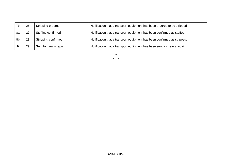| 7 <sub>b</sub> | 26 | Stripping ordered     | Notification that a transport equipment has been ordered to be stripped. |
|----------------|----|-----------------------|--------------------------------------------------------------------------|
| 8a             |    | Stuffing confirmed    | Notification that a transport equipment has been confirmed as stuffed.   |
| 8b             | 28 | Stripping confirmed   | Notification that a transport equipment has been confirmed as stripped.  |
|                | 29 | Sent for heavy repair | Notification that a transport equipment has been sent for heavy repair.  |

\* \* \*

ANNEX II/9.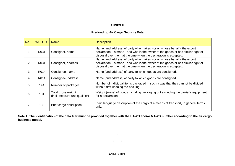# **ANNEX III**

## **Pre-loading Air Cargo Security Data**

| <b>No</b> | <b>WCO ID</b> | <b>Name</b>                                          | <b>Description</b>                                                                                                                                                                                                               |
|-----------|---------------|------------------------------------------------------|----------------------------------------------------------------------------------------------------------------------------------------------------------------------------------------------------------------------------------|
|           | R031          | Consignor, name                                      | Name [and address] of party who makes - or on whose behalf - the export<br>declaration - is made - and who is the owner of the goods or has similar right of<br>disposal over them at the time when the declaration is accepted. |
| 2         | R031          | Consignor, address                                   | Name [and address] of party who makes - or on whose behalf - the export<br>declaration - is made - and who is the owner of the goods or has similar right of<br>disposal over them at the time when the declaration is accepted. |
| 3         | R014          | Consignee, name                                      | Name [and address] of party to which goods are consigned.                                                                                                                                                                        |
| 4         | R014          | Consignee, address                                   | Name [and address] of party to which goods are consigned.                                                                                                                                                                        |
| 5         | 144           | Number of packages                                   | Number of individual items packaged in such a way that they cannot be divided<br>without first undoing the packing.                                                                                                              |
| 6         | 131           | Total gross weight<br>(incl. Measure unit qualifier) | Weight (mass) of goods including packaging but excluding the carrier's equipment<br>for a declaration.                                                                                                                           |
|           | 138           | Brief cargo description                              | Plain language description of the cargo of a means of transport, in general terms<br>only.                                                                                                                                       |

**Note 1: The identification of the data filer must be provided together with the HAWB and/or MAWB number according to the air cargo business model.**

x

x x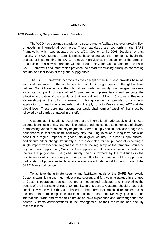#### **ANNEX IV**

#### **AEO Conditions, Requirements and Benefits**

The WCO has designed standards to secure and to facilitate the ever-growing flow of goods in international commerce. These standards are set forth in the SAFE Framework, which was adopted by the WCO Council at its 2005 Sessions. A vast majority of WCO Member administrations have expressed the intention to begin the process of implementing the SAFE Framework provisions. In recognition of the urgency of launching this new programme without undue delay, the Council adopted the basic SAFE Framework document which provides the broad overarching principles concerning security and facilitation of the global supply chain.

The SAFE Framework incorporates the concept of the AEO and provides baseline technical guidance for the implementation of AEO programmes at the global level between WCO Members and the international trade community. It is designed to serve as a starting point for national AEO programme implementation and supports the effective application of the standards that are outlined in Pillar II (Customs-to-Business Partnerships) of the SAFE Framework. This guidance will provide for long-term application of meaningful standards that will apply to both Customs and AEOs at the global level. These core international standards shall form a "baseline" that must be followed by all parties engaged in this effort.

Customs administrations recognize that the international trade supply chain is not a discrete identifiable entity. Rather, it is a series of ad hoc constructs comprised of players representing varied trade industry segments. Some "supply chains" possess a degree of permanence in that the same cast may play recurring roles on a long-term basis on behalf of a regular importer of goods into a given country. In other "supply chains", participants either change frequently or are assembled for the purpose of executing a single import transaction. Regardless of either the regularity or the temporal nature of any particular supply chain, Customs does appreciate that it does not own any portion of the trade supply chain. The global supply chain is "owned" by the multitudes in the private sector who operate as part of any chain. It is for this reason that the support and participation of private sector business interests are fundamental to the success of the SAFE Framework concept.

To achieve the ultimate security and facilitation goals of the SAFE Framework, Customs administrations must adopt a transparent and forthcoming attitude in the area of Customs operations that can be further modernized, adjusted and improved to the benefit of the international trade community. In this sense, Customs should proactively consider ways in which they can, based on their current or projected resources, assist the trade in completing their business in the most effective way possible. The international trade and transport communities have experience and knowledge that can benefit Customs administrations in the management of their facilitation and security responsibilities.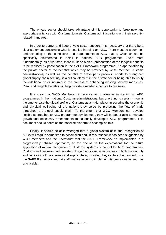The private sector should take advantage of this opportunity to forge new and appropriate alliances with Customs, to assist Customs administrations with their securityrelated mandates.

In order to garner and keep private sector support, it is necessary that there be a clear statement concerning what is entailed in being an AEO. There must be a common understanding of the conditions and requirements of AEO status, which should be specifically enumerated in detail in national AEO programmes. Even more fundamentally, as a first step, there must be a clear presentation of the tangible benefits to be realized by participation in the SAFE Framework programme. An appreciation by the private sector of the benefits which may be provided by WCO Member Customs administrations, as well as the benefits of active participation in efforts to strengthen global supply chain security, is a critical element in the private sector being able to justify the additional costs incurred in the process of enhancing existing security measures. Clear and tangible benefits will help provide a needed incentive to business.

It is clear that WCO Members will face certain challenges in starting up AEO programmes in their national Customs administrations, but one thing is certain - now is the time to raise the global profile of Customs as a major player in securing the economic and physical well-being of the nations they serve by protecting the flow of trade throughout the global supply chain. To the extent that WCO Members can develop flexible approaches to AEO programme development, they will be better able to manage growth and necessary amendments to nationally developed AEO programmes. This document should serve as the baseline platform to accomplish this.

Finally, it should be acknowledged that a global system of mutual recognition of AEOs will require some time to accomplish and, in this respect, it has been suggested by WCO Members and the Secretariat that the SAFE Framework be implemented in a progressively "phased approach", so too should be the expectations for the future application of mutual recognition of Customs' systems of control for AEO programmes. Customs and business partners stand to gain additional effectiveness in both the security and facilitation of the international supply chain, provided they capture the momentum of the SAFE Framework and take affirmative action to implement its provisions as soon as practicable.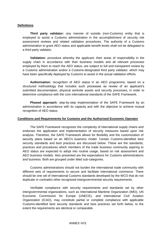## **Definitions**

**Third party validator:** any manner of outside (non-Customs) entity that is employed to assist a Customs administration in the accomplishment of security risk assessment reviews and related validation procedures. The authority of a Customs administration to grant AEO status and applicable benefit levels shall not be delegated to a third party validator.

**Validation:** procedure whereby the applicant, their areas of responsibility in the supply chain in accordance with their business models and all relevant processes employed by them to reach the AEO status, are subject to full and transparent review by a Customs administration and/or a Customs-designated third party validator, which may have been specifically deployed by Customs to assist in the actual validation efforts.

**Authorization:** recognition of AEO status in an AEO programme, based on a structured methodology that includes such processes as review of an applicant's submitted documentation, physical worksite assets and security processes, in order to determine compliance with the core international standards of the SAFE Framework.

**Phased approach:** step-by-step implementation of the SAFE Framework by an administration in accordance with its capacity and with the objective to achieve mutual recognition of AEO status.

#### **Conditions and Requirements for Customs and the Authorized Economic Operator**

The SAFE Framework recognizes the complexity of international supply chains and endorses the application and implementation of security measures based upon risk analysis. Therefore, the SAFE Framework allows for flexibility and the customization of security plans based on an AEO's business model. Certain Customs-identified best security standards and best practices are discussed below. These are the standards, practices and procedures which members of the trade business community aspiring to AEO status are expected to adopt into routine usage, based on risk assessment and AEO business models. Also presented are the expectations for Customs administrations and business. Both are grouped under titled sub-categories.

Customs administrations should not burden the international trade community with different sets of requirements to secure and facilitate international commerce. There should be one set of international Customs standards developed by the WCO that do not duplicate or contradict other recognized intergovernmental security requirements.

Verifiable compliance with security requirements and standards set by other intergovernmental organizations, such as International Maritime Organization (IMO), UN Economic Commission for Europe (UNECE), and International Civil Aviation Organization (ICAO), may constitute partial or complete compliance with applicable Customs-identified best security standards and best practices set forth below, to the extent the requirements are identical or comparable.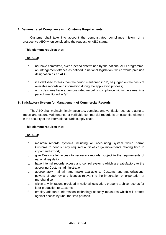# **A**. **Demonstrated Compliance with Customs Requirements**

Customs shall take into account the demonstrated compliance history of a prospective AEO when considering the request for AEO status.

## **This element requires that:**

## **The AEO:**

- a. not have committed, over a period determined by the national AEO programme, an infringement/offence as defined in national legislation, which would preclude designation as an AEO:
- b. if established for less than the period mentioned in "a", be judged on the basis of available records and information during the application process;
- c. or its designee have a demonstrated record of compliance within the same time period, mentioned in "a".

## **B. Satisfactory System for Management of Commercial Records**

The AEO shall maintain timely, accurate, complete and verifiable records relating to import and export. Maintenance of verifiable commercial records is an essential element in the security of the international trade supply chain.

## **This element requires that:**

- a. maintain records systems including an accounting system which permit Customs to conduct any required audit of cargo movements relating both to import and export;
- b. give Customs full access to necessary records, subject to the requirements of national legislation;
- c. have internal records access and control systems which are satisfactory to the approving Customs administration;
- d. appropriately maintain and make available to Customs any authorizations, powers of attorney and licences relevant to the importation or exportation of merchandise;
- e. within any limitations provided in national legislation, properly archive records for later production to Customs;
- f. employ adequate information technology security measures which will protect against access by unauthorized persons.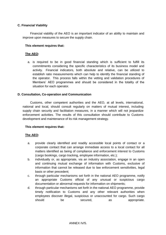## **C. Financial Viability**

Financial viability of the AEO is an important indicator of an ability to maintain and improve upon measures to secure the supply chain.

## **This element requires that:**

# **The AEO:**

a. is required to be in good financial standing which is sufficient to fulfill its commitments considering the specific characteristics of its business model and activity. Financial indicators, both absolute and relative, can be utilized to establish ratio measurements which can help to identify the financial standing of the operator. This process falls within the vetting and validation procedures of Members' AEO programmes and should be considered in the totality of the situation for each operator.

## **D. Consultation, Co-operation and Communication**

Customs, other competent authorities and the AEO, at all levels, international, national and local, should consult regularly on matters of mutual interest, including supply chain security and facilitation measures, in a manner which will not jeopardize enforcement activities. The results of this consultation should contribute to Customs development and maintenance of its risk management strategy.

## **This element requires that:**

- a. provide clearly identified and readily accessible local points of contact or a corporate contact that can arrange immediate access to a local contact for all matters identified as being of compliance and enforcement interest to Customs (cargo bookings, cargo tracking, employee information, etc.);
- b. individually or, as appropriate, via an industry association, engage in an open and continuing mutual exchange of information with Customs, exclusive of information that cannot be released due to law enforcement sensitivities, legal basis or other precedent;
- c. through particular mechanisms set forth in the national AEO programme, notify an appropriate Customs official of any unusual or suspicious cargo documentation or abnormal requests for information on shipments;
- d. through particular mechanisms set forth in the national AEO programme, provide timely notification to Customs and any other relevant authorities when employees discover illegal, suspicious or unaccounted for cargo. Such cargo should be secured, as appropriate.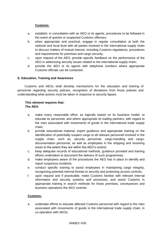# **Customs:**

- a. establish, in consultation with an AEO or its agents, procedures to be followed in the event of queries or suspected Customs offences;
- b. when appropriate and practical, engage in regular consultation at both the national and local level with all parties involved in the international supply chain to discuss matters of mutual interest, including Customs regulations, procedures and requirements for premises and cargo security;
- c. upon request of the AEO, provide specific feedback on the performance of the AEO in addressing security issues related to the international supply chain;
- d. provide the AEO or its agents with telephone numbers where appropriate Customs officials can be contacted.

## **E. Education, Training and Awareness**

Customs and AEOs shall develop mechanisms for the education and training of personnel regarding security policies, recognition of deviations from those policies and understanding what actions must be taken in response to security lapses.

## **This element requires that: The AEO:**

- a. make every reasonable effort, as logically based on its business model, to educate its personnel, and where appropriate its trading partners, with regard to the risks associated with movements of goods in the international trade supply chain;
- b. provide educational material, expert guidance and appropriate training on the identification of potentially suspect cargo to all relevant personnel involved in the supply chain, such as, security personnel, cargo-handling and cargodocumentation personnel, as well as employees in the shipping and receiving areas to the extent they are within the AEO's control;
- c. keep adequate records of educational methods, guidance provided and training efforts undertaken to document the delivery of such programmes;
- d. make employees aware of the procedures the AEO has in place to identify and report suspicious incidents;
- e. conduct specific training to assist employees in maintaining cargo integrity, recognizing potential internal threats to security and protecting access controls;
- f. upon request and if practicable, make Customs familiar with relevant internal information and security systems and processes, and assist Customs in appropriate training in search methods for those premises, conveyances and business operations the AEO controls.

## **Customs:**

a. undertake efforts to educate affected Customs personnel with regard to the risks associated with movements of goods in the international trade supply chain, in co-operation with AEOs;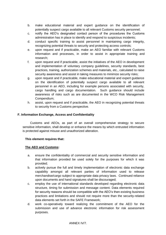- b. make educational material and expert guidance on the identification of potentially suspect cargo available to all relevant Customs security personnel;
- c. notify the AEO's designated contact person of the procedures the Customs administration has in place to identify and respond to suspicious incidents;
- d. conduct specific training to assist personnel in maintaining cargo integrity, recognizing potential threats to security and protecting access controls;
- e. upon request and if practicable, make an AEO familiar with relevant Customs information and processes, in order to assist in appropriate training and research;
- f. upon request and if practicable, assist the initiatives of the AEO in development and implementation of voluntary company guidelines, security standards, best practices, training, authorization schemes and materials, etc., calculated to raise security awareness and assist in taking measures to minimize security risks;
- g. upon request and if practicable, make educational material and expert guidance on the identification of potentially suspect cargo available to all relevant personnel in an AEO, including for example persons associated with security, cargo handling and cargo documentation. Such guidance should include awareness of risks such as are documented in the WCO Risk Management Compendium;
- h. assist, upon request and if practicable, the AEO in recognizing potential threats to security from a Customs perspective.

## **F. Information Exchange, Access and Confidentiality**

Customs and AEOs, as part of an overall comprehensive strategy to secure sensitive information, shall develop or enhance the means by which entrusted information is protected against misuse and unauthorized alteration.

## **This element requires that:**

## **The AEO and Customs:**

- a. ensure the confidentiality of commercial and security sensitive information and that information provided be used solely for the purposes for which it was provided;
- b. actively pursue the full and timely implementation of electronic data exchange capability amongst all relevant parties of information used to release merchandise/cargo subject to appropriate data privacy laws. Continued reliance upon documents and hand signatures shall be discouraged;
- c. employ the use of international standards developed regarding electronic data structure, timing for submission and message content. Data elements required for security reasons should be compatible with the AEO's then-existing business practices and limitations and should not require more than the security-related data elements set forth in the SAFE Framework;
- d. work co-operatively toward realizing the commitment of the AEO for the submission and use of advance electronic information for risk assessment purposes.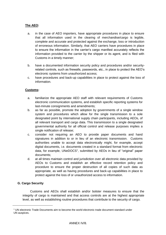# **The AEO:**

- a. in the case of AEO importers, have appropriate procedures in place to ensure that all information used in the clearing of merchandise/cargo is legible, complete and accurate and protected against the exchange, loss or introduction of erroneous information. Similarly, that AEO carriers have procedures in place to ensure the information in the carrier's cargo manifest accurately reflects the information provided to the carrier by the shipper or its agent, and is filed with Customs in a timely manner;
- b. have a documented information security policy and procedures and/or securityrelated controls, such as firewalls, passwords, etc., in place to protect the AEO's electronic systems from unauthorized access;
- c. have procedures and back-up capabilities in place to protect against the loss of information.

## **Customs:**

- a. familiarize the appropriate AEO staff with relevant requirements of Customs electronic communication systems, and establish specific reporting systems for last-minute consignments and amendments;
- b. as far as possible, promote the adoption by governments of a single window system and procedures which allow for the single transmission to a sole designated point by international supply chain participants, including AEOs, of all relevant transport and cargo data. This transmission to a single designated governmental authority for all official control and release purposes implies a single notification of release;
- c. consider not requiring an AEO to provide paper documents and hand signatures in addition to or in lieu of an electronic transmission. Customs authorities unable to accept data electronically might, for example, accept digital documents, i.e. documents created in a standard format from electronic data, for example, UNeDOCS<sup>1</sup>, submitted by AEOs in lieu of "original" paper documents;
- d. at all times maintain control and jurisdiction over all electronic data provided by AEOs to Customs and establish an effective record retention policy and procedure to ensure the proper destruction of all copies of such data as appropriate, as well as having procedures and back-up capabilities in place to protect against the loss of or unauthorized access to information.

## **G. Cargo Security**

Customs and AEOs shall establish and/or bolster measures to ensure that the integrity of cargo is maintained and that access controls are at the highest appropriate level, as well as establishing routine procedures that contribute to the security of cargo.

<sup>1</sup> UN electronic Trade Documents aim to become the world electronic trade document standard under UN auspices.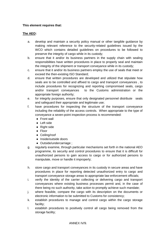# **This element requires that:**

- a. develop and maintain a security policy manual or other tangible guidance by making relevant reference to the security-related guidelines issued by the WCO which contains detailed guidelines on procedures to be followed to preserve the integrity of cargo while in its custody;
- b. ensure that it and/or its business partners in the supply chain with sealing responsibilities have written procedures in place to properly seal and maintain the integrity of the shipment or transport conveyance while in its custody;
- c. ensure that it and/or its business partners employ the use of seals that meet or exceed the then-existing ISO Standard;
- d. ensure that written procedures are developed and utilized that stipulate how seals are to be controlled and affixed to cargo and transport conveyances , to include procedures for recognizing and reporting compromised seals, cargo and/or transport conveyances to the Customs administration or the appropriate foreign authority;
- e. for integrity purposes, ensure that only designated personnel distribute seals and safeguard their appropriate and legitimate use;
- f. have procedures for inspecting the structure of the transport conveyance including the reliability of the access controls. When appropriate to the type of conveyance a seven-point inspection process is recommended:
	- Front wall
	- Left side
	- Right side
	- Floor
	- Ceiling/roof
	- Inside/outside doors
	- Outside/undercarriage ;
- g. regularly examine, through particular mechanisms set forth in the national AEO programme, its security and control procedures to ensure that it is difficult for unauthorized persons to gain access to cargo or for authorized persons to manipulate, move or handle it improperly;
- h. store cargo and transport conveyances in its custody in secure areas and have procedures in place for reporting detected unauthorized entry to cargo and transport conveyance storage areas to appropriate law enforcement officials;
- i. verify the identity of the carrier collecting or delivering cargo and transport conveyances where existing business processes permit and, in the case of there being no such authority, take action to promptly achieve such mandate;
- j. where feasible, compare the cargo with its description on the documents or electronic information to be submitted to Customs for consistency;
- k. establish procedures to manage and control cargo within the cargo storage facility;
- l. establish procedures to positively control all cargo being removed from the storage facility;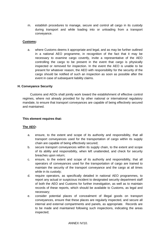m. establish procedures to manage, secure and control all cargo in its custody during transport and while loading into or unloading from a transport conveyance.

## **Customs:**

a. where Customs deems it appropriate and legal, and as may be further outlined in a national AEO programme, in recognition of the fact that it may be necessary to examine cargo covertly, invite a representative of the AEO controlling the cargo to be present in the event that cargo is physically inspected or removed for inspection. In the event the AEO is unable to be present for whatever reason, the AEO with responsibility for the security of the cargo should be notified of such an inspection as soon as possible after the event in case of subsequent liability claims.

## **H. Conveyance Security**

Customs and AEOs shall jointly work toward the establishment of effective control regimes, where not already provided for by other national or international regulatory mandate, to ensure that transport conveyances are capable of being effectively secured and maintained.

#### **This element requires that:**

- a. ensure, to the extent and scope of its authority and responsibility, that all transport conveyances used for the transportation of cargo within its supply chain are capable of being effectively secured;
- b. secure transport conveyances within its supply chain, to the extent and scope of its ability and responsibility, when left unattended, and check for security breaches upon return;
- c. ensure, to the extent and scope of its authority and responsibility, that all operators of conveyances used for the transportation of cargo are trained to maintain the security of the transport conveyance and the cargo at all times while in its custody;
- d. require operators, as specifically detailed in national AEO programmes, to report any actual or suspicious incident to designated security department staff of both the AEO and Customs for further investigation, as well as to maintain records of these reports, which should be available to Customs, as legal and necessary;
- e. consider potential places of concealment of illegal goods on transport conveyances, ensure that these places are regularly inspected, and secure all internal and external compartments and panels, as appropriate. Records are to be made and maintained following such inspections, indicating the areas inspected;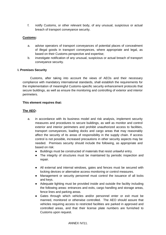f. notify Customs, or other relevant body, of any unusual, suspicious or actual breach of transport conveyance security.

# **Customs:**

- a. advise operators of transport conveyances of potential places of concealment of illegal goods in transport conveyances, where appropriate and legal, as based on their Customs perspective and expertise;
- b. investigate notification of any unusual, suspicious or actual breach of transport conveyance security.

## **I. Premises Security**

Customs, after taking into account the views of AEOs and their necessary compliance with mandatory international standards, shall establish the requirements for the implementation of meaningful Customs-specific security enhancement protocols that secure buildings, as well as ensure the monitoring and controlling of exterior and interior perimeters.

## **This element requires that:**

- a. in accordance with its business model and risk analysis, implement security measures and procedures to secure buildings, as well as monitor and control exterior and interior perimeters and prohibit unauthorized access to facilities, transport conveyances, loading docks and cargo areas that may reasonably affect the security of its areas of responsibility in the supply chain. If access control is not possible, increased precautions in other security aspects may be needed. Premises security should include the following, as appropriate and based on risk:
	- Buildings must be constructed of materials that resist unlawful entry.
	- The integrity of structures must be maintained by periodic inspection and repair.
	- All external and internal windows, gates and fences must be secured with locking devices or alternative access monitoring or control measures.
	- Management or security personnel must control the issuance of all locks and keys.
	- Adequate lighting must be provided inside and outside the facility including the following areas: entrances and exits, cargo handling and storage areas, fence lines and parking areas.
	- Gates through which vehicles and/or personnel enter or exit must be manned, monitored or otherwise controlled. The AEO should assure that vehicles requiring access to restricted facilities are parked in approved and controlled areas, and that their license plate numbers are furnished to Customs upon request.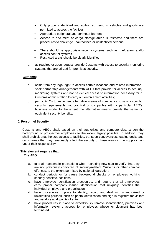- Only properly identified and authorized persons, vehicles and goods are permitted to access the facilities.
- Appropriate peripheral and perimeter barriers.
- Access to document or cargo storage areas is restricted and there are procedures to challenge unauthorized or unidentified persons.
- There should be appropriate security systems, such as, theft alarm and/or access control systems.
- Restricted areas should be clearly identified.
- b. as required or upon request, provide Customs with access to security monitoring systems that are utilized for premises security.

# **Customs:**

- a. aside from any legal right to access certain locations and related information, seek partnership arrangements with AEOs that provide for access to security monitoring systems and not be denied access to information necessary for a Customs administration to carry out enforcement activities;
- b. permit AEOs to implement alternative means of compliance to satisfy specific security requirements not practical or compatible with a particular AEO's business model to the extent the alternative means provide the same or equivalent security benefits.

## **J. Personnel Security**

Customs and AEOs shall, based on their authorities and competencies, screen the background of prospective employees to the extent legally possible. In addition, they shall prohibit unauthorized access to facilities, transport conveyances, loading docks and cargo areas that may reasonably affect the security of those areas in the supply chain under their responsibility.

# **This element requires that:**

- a. take all reasonable precautions when recruiting new staff to verify that they are not previously convicted of security-related, Customs or other criminal offences, to the extent permitted by national legislation;
- b. conduct periodic or for cause background checks on employees working in security sensitive positions;
- c. have employee identification procedures, and require that all employees carry proper company issued identification that uniquely identifies the individual employee and organization;
- d. have procedures in place to identify, record and deal with unauthorized or unidentified persons, such as photo identification and sign-in registers for visitors and vendors at all points of entry;
- e. have procedures in place to expeditiously remove identification, premises and information systems access for employees whose employment has been terminated.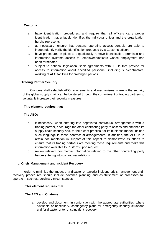# **Customs:**

- a. have identification procedures, and require that all officers carry proper identification that uniquely identifies the individual officer and the organization he/she represents;
- b. as necessary, ensure that persons operating access controls are able to independently verify the identification produced by a Customs officer;
- c. have procedures in place to expeditiously remove identification, premises and information systems access for employees/officers whose employment has been terminated;
- d. subject to national legislation, seek agreements with AEOs that provide for access to information about specified personnel, including sub-contractors, working at AEO facilities for prolonged periods.

## **K. Trading Partner Security**

Customs shall establish AEO requirements and mechanisms whereby the security of the global supply chain can be bolstered through the commitment of trading partners to voluntarily increase their security measures.

#### **This element requires that:**

## **The AEO:**

- a. if necessary, when entering into negotiated contractual arrangements with a trading partner, encourage the other contracting party to assess and enhance its supply chain security and, to the extent practical for its business model, include such language in those contractual arrangements. In addition, the AEO is to retain documentation in support of this aspect to demonstrate its efforts to ensure that its trading partners are meeting these requirements and make this information available to Customs upon request;
- b. review relevant commercial information relating to the other contracting party before entering into contractual relations.

#### **L. Crisis Management and Incident Recovery**

In order to minimize the impact of a disaster or terrorist incident, crisis management and recovery procedures should include advance planning and establishment of processes to operate in such extraordinary circumstances.

#### **This element requires that:**

## **The AEO and Customs:**

a. develop and document, in conjunction with the appropriate authorities, where advisable or necessary, contingency plans for emergency security situations and for disaster or terrorist incident recovery;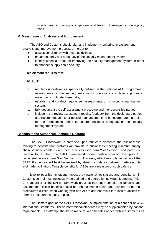b. include periodic training of employees and testing of emergency contingency plans.

## **M. Measurement, Analyses and Improvement**

The AEO and Customs should plan and implement monitoring, measurement, analysis and improvement processes in order to:

- assess consistency with these guidelines;
- ensure integrity and adequacy of the security management system;
- identify potential areas for improving the security management system in order to enhance supply chain security.

## **This element requires that:**

## **The AEO:**

- a. regularly undertake, as specifically outlined in the national AEO programme, assessments of the security risks in its operations and take appropriate measures to mitigate those risks;
- b. establish and conduct regular self-assessments of its security management system;
- c. fully document the self-assessment procedure and the responsible parties;
- d. include in the review assessment results, feedback from the designated parties and recommendations for possible enhancements to be incorporated in a plan for the forthcoming period to ensure continued adequacy of the security management system.

## **Benefits to the Authorized Economic Operator**

The SAFE Framework is premised upon four core elements, the last of these relating to benefits that Customs will provide to businesses meeting minimum supply chain security standards and best practices (see para 2 of Section I and para 3 of Section II). Further, the SAFE Framework offers certain specific examples for consideration (see para 3 of Section III). Ultimately, effective implementation of the SAFE Framework will best be realized by striking a balance between trade security and trade facilitation. Tangible benefits for AEOs are a measure of such balance.

Due to possible limitations imposed by national legislation, any benefits within Customs control must necessarily be defined and offered by individual Members. Pillar 2, Standard 3 of the SAFE Framework provides that such benefits be tangible and documented. These benefits should be enhancements above and beyond the normal procedures utilized when working with non-AEOs and not result in a loss of access to normal procedures already in place.

The ultimate goal of the SAFE Framework is implementation of a core set of WCO international standards. These international standards may be supplemented by national requirements. An attempt should be made to keep benefits apace with requirements as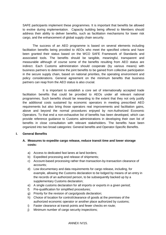SAFE participants implement these programmes. It is important that benefits be allowed to evolve during implementation. Capacity building being offered to Members should address their ability to deliver benefits, such as facilitation mechanisms for lower risk cargo, and the enhancement of global supply chain security.

The success of an AEO programme is based on several elements including facilitation benefits being provided to AEOs who meet the specified criteria and have been granted their status based on the WCO SAFE Framework of Standards and associated tools. The benefits should be tangible, meaningful, transparent and measurable although of course some of the benefits resulting from AEO status are indirect. Each Customs administration should cooperate (by various means) with business partners to determine the joint benefits to be gained from collective participation in the secure supply chain, based on national priorities, the operating environment and policy considerations. General agreement on the minimum benefits that business partners can reap from the AEO status is also crucial.

It is important to establish a core set of internationally accepted trade facilitation benefits that could be provided to AEOs under all relevant national programmes. Such benefits should be rewarding to the extent that they not only justify the additional costs sustained by economic operators in meeting prescribed AEO requirements but also bring those operators real improvements and facilitation gains, above and beyond the normal procedures enjoyed by non-Authorized Economic Operators. To that end a non-exhaustive list of benefits has been developed, which can provide reference guidance to Customs administrations in developing their own list of benefits in close consultation with relevant stakeholders. The benefits have been organized into two broad categories: General benefits and Operator-Specific Benefits.

## **I. General Benefits**

## **A. Measures to expedite cargo release, reduce transit time and lower storage costs:**

- a) Access to dedicated fast lanes at land borders;
- b) Expedited processing and release of shipments;
- c) Account-based processing rather than transaction-by-transaction clearance of accounts;
- d) Low documentary and data requirements for cargo release, including, for example, allowing the Customs declaration to be lodged by means of an entry in the records of an authorized person, to be subsequently backed up by a supplementary Customs declaration;
- e) A single customs declaration for all imports or exports in a given period;
- f) Pre-qualification for simplified procedures;
- g) Priority for the revision of cargo/goods declaration;
- h) Choice of location for control/clearance of goods at the premises of the authorized economic operator or another place authorized by customs;
- i) Faster clearance at transit points and fewer checks en route;
- j) Minimum number of cargo security inspections;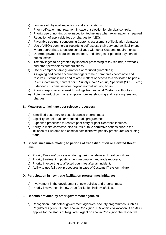- k) Low rate of physical inspections and examinations;
- l) Prior notification and treatment in case of selection for physical controls;
- m) Priority use of non-intrusive inspection techniques when examination is required;
- n) Reduction of applicable fees or charges for AEOs;
- o) Favorable treatment concerning Customs assessment of liquidation damages;
- p) Use of AEO's commercial records to self-assess their duty and tax liability and, where appropriate, to ensure compliance with other Customs requirements;
- q) Deferred payment of duties, taxes, fees, and charges or periodic payment of duties/taxes;
- r) Tax privileges to be granted by speedier processing of tax refunds, drawback, and other permissions/authorizations;
- s) Use of comprehensive guarantees or reduced guarantees;
- t) Assigning dedicated account managers to help companies coordinate and resolve Customs issues and related matters or access to a dedicated helpdesk, Client Coordinator, contact point, Supply Chain Security Specialist (SCSS), etc.;
- u) Extended Customs services beyond normal working hours;
- v) Priority response to request for rulings from national Customs authorities;
- w) Potential reduction in or exemption from warehousing and licensing fees and charges.

## **B. Measures to facilitate post-release processes:**

- a) Simplified post-entry or post-clearance programmes;
- b) Eligibility for self-audit or reduced audit programmes;
- c) Expedited processes to resolve post-entry or post-clearance inquiries;
- d) Ability to make corrective disclosures or take corrective actions prior to the initiation of Customs non-criminal administrative penalty procedures (excluding fraud).

# **C. Special measures relating to periods of trade disruption or elevated threat level:**

- a) Priority Customs' processing during period of elevated threat conditions;
- b) Priority treatment in post-incident resumption and trade recovery;
- c) Priority in exporting to affected countries after an incident;
- d) Ability to use fall-back procedures in case of Customs IT system failure.

## **D. Participation in new trade facilitation programmes/initiatives:**

- a) Involvement in the development of new policies and programmes;
- b) Priority involvement in new trade facilitation initiatives/pilots.

## **E. Benefits provided by other government agencies**

a) Recognition under other government agencies' security programmes, such as Regulated Agent (RA) and Known Consigner (KC) within civil aviation, if an AEO applies for the status of Regulated Agent or Known Consignor, the respective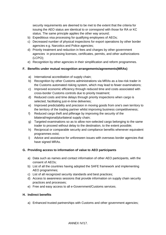security requirements are deemed to be met to the extent that the criteria for issuing the AEO status are identical to or correspond with those for RA or KC status. The same principle applies the other way around;

- b) Expeditious visa processing for qualifying employees of AEOs;
- c) Decreased number of physical inspections for export operations by other border agencies e.g. Narcotics and Police agencies;
- d) Priority treatment and reduction in fees and charges by other government agencies in processing licenses, certificates, permits, and other authorizations (LCPO);
- e) Recognition by other agencies in their simplification and reform programmes.

## **F. Benefits under mutual recognition arrangements/agreements(MRAs)**

- a) International accreditation of supply chain;
- b) Recognition by other Customs administrations via MRAs as a low-risk trader in the Customs automated risking system, which may lead to fewer examinations;
- c) Improved economic efficiency through reduced time and costs associated with cross-border Customs controls due to priority treatment;
- d) Reduced costs and time delays through priority inspections when cargo is selected, facilitating just-in-time deliveries;
- e) Improved predictability and precision in moving goods from one's own territory to the territory of the trading partner whilst improving business competitiveness;
- f) Reduced cargo theft and pilferage by improving the security of the bilateral/regional/plurilateral supply chain;
- g) Targeted examinations so as to allow non-selected cargo belonging to the same trader to proceed without delay to the destination, to the extent possible;
- h) Reciprocal or comparable security and compliance benefits whenever equivalent programmes exist;
- i) Advice and assistance for unforeseen issues with overseas border agencies that have signed MRAs.

# **G. Providing access to information of value to AEO participants**

- a) Data such as names and contact information of other AEO participants, with the consent of AEOs;
- b) List of all the countries having adopted the SAFE framework and implementing AEO programmes;
- c) List of all recognized security standards and best practices;
- d) Access to awareness sessions that provide information on supply chain security practices and processes;
- e) Free and easy access to all e-Government/Customs services.

## **H. Indirect benefits**

a) Enhanced trusted partnerships with Customs and other government agencies;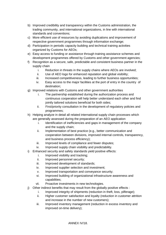- b) Improved credibility and transparency within the Customs administration, the trading community, and international organizations, in line with international standards and conventions;
- c) More efficient use of resources by avoiding duplications and improvement of respective government programmes through information exchange;
- d) Participation in periodic capacity building and technical training activities organized by Customs for AEOs;
- e) Easy access to funding or assistance through training assistance schemes and development programmes offered by Customs and other government agencies;
- f) Recognition as a secure, safe, predictable and consistent business partner in the supply chain
	- i. Reduction in threats in the supply chains where AEOs are involved;
	- ii. Use of AEO logo for enhanced reputation and global visibility;
	- iii. Increased competitiveness, leading to further business opportunities;
	- iv. Easy access to the major facilities at the port of entry in the country of destination;
- g) Improved relations with Customs and other government authorities
	- i. The partnership established during the authorization process and continuous cooperation will help better understand each other and find jointly tailored solutions beneficial for both sides;
	- ii. First/priority consultation in the development of regulatory policies and programmes;
- h) Helping analyze in detail all related international supply chain processes which are generally assessed during the preparation of an AEO application
	- i. Identification of inefficiencies and gaps in management of the company and the supply chain;
	- ii. Implementation of best practice (e.g., better communication and cooperation between divisions, improved internal controls, transparency, and business process efficiency);
	- iii. Improved levels of compliance and fewer disputes;
	- iv. Improved supply chain visibility and predictability.
- i) Enhanced security and safety standards yield positive effects:
	- i. Improved visibility and tracking;
	- ii. Improved personnel security;
	- iii. Improved development of standards;
	- iv. Improved supplier selection and investment;
	- v. Improved transportation and conveyance security;
	- vi. Improved building of organizational infrastructure awareness and capabilities;
	- vii. Proactive investments in new technologies.
- j) Other indirect benefits that may result from the globally positive effects :
	- i. Improved integrity of shipments (reduction in theft, loss, pilferage);
	- ii. Higher customer satisfaction and loyalty (reduction in customer attrition and increase in the number of new customers);
	- iii. Improved inventory management (reduction in excess inventory and improved on-time delivery);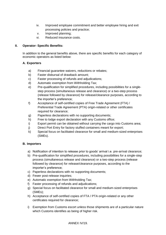- iv. Improved employee commitment and better employee hiring and exit processing policies and practice;
- v. Improved planning;
- vi. Reduced insurance costs.

### **II. Operator- Specific Benefits:**

In addition to the general benefits above, there are specific benefits for each category of economic operators as listed below:

### **A. Exporters**

- a) Financial guarantee waivers, reductions or rebates;
- b) Faster disbursal of drawback amount;
- c) Faster processing of refunds and adjudications;
- d) Automatic exemption from Withholding Tax;
- e) Pre-qualification for simplified procedures, including possibilities for a singlestep process (simultaneous release and clearance) or a two-step process (release followed by clearance) for release/clearance purposes, according to the importer's preference;
- f) Acceptance of self-certified copies of Free Trade Agreement (FTA) / Preferential Trade Agreement (PTA) origin-related or other certificates required for clearance;
- g) Paperless declarations with no supporting documents;
- h) Free to lodge export declaration with any Customs office;
- i) Export permit can be obtained without carrying the cargo into Customs area;
- j) Direct Port Entry for factory stuffed containers meant for export;
- k) Special focus on facilitated clearance for small and medium-sized enterprises (SMEs).

### **B. Importers**

- a) Notification of intention to release prior to goods' arrival i.e. pre-arrival clearance;
- b) Pre-qualification for simplified procedures, including possibilities for a single-step process (simultaneous release and clearance) or a two-step process (release followed by clearance) for release/clearance purposes, according to the importer's preference;
- c) Paperless declarations with no supporting documents;
- d) Fewer post-release inquiries;
- e) Automatic exemption from Withholding Tax;
- f) Faster processing of refunds and adjudications;
- g) Special focus on facilitated clearance for small and medium-sized enterprises (SMEs);
- h) Acceptance of self-certified copies of FTA / PTA origin-related or any other certificates required for clearance;
- i) Exemption from Customs escort unless those shipments are of a particular nature which Customs identifies as being of higher risk.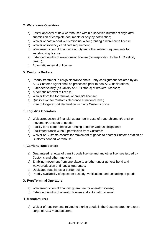# **C. Warehouse Operators**

- a) Faster approval of new warehouses within a specified number of days after submission of complete documents or only by notification;
- b) Waiver of past record verification usual for granting a warehouse license;
- c) Waiver of solvency certificate requirement;
- d) Waiver/reduction of financial security and other related requirements for warehousing license;
- e) Extended validity of warehousing license (corresponding to the AEO validity period);
- f) Automatic renewal of license.

# **D. Customs Brokers**

- a) Priority treatment in cargo clearance chain any consignment declared by an AEO Customs Agent shall be processed prior to non-AEO declarations;
- b) Extended validity (as validity of AEO status) of brokers' licenses;
- c) Automatic renewal of license;
- d) Waiver from fee for renewal of broker's license;
- e) Qualification for Customs clearance at national level;
- f) Free to lodge export declaration with any Customs office.

# **E. Logistics Operators**

- a) Waiver/reduction of financial guarantee in case of trans-shipment/transit or movement/transport of goods;
- b) Facility for a comprehensive running bond for various obligations;
- c) Facilitated transit without permission from Customs;
- d) Waiver of Customs escorts for movement of goods to another Customs station or Customs bonded warehouse.

### **F. Carriers/Transporters**

- a) Guaranteed renewal of transit goods license and any other licenses issued by Customs and other agencies;
- b) Enabling movement from one place to another under general bond and waiver/reduction of financial guarantee;
- c) Dedicated road lanes at border points;
- d) Priority availability of space for custody, verification, and unloading of goods.

### **G. Port/Terminal Operators**

- a) Waiver/reduction of financial guarantee for operator license;
- b) Extended validity of operator license and automatic renewal.

### **H. Manufacturers**

a) Waiver of requirements related to storing goods in the Customs area for export cargo of AEO manufacturers;

### ANNEX IV/20.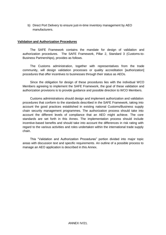b) Direct Port Delivery to ensure just-in-time inventory management by AEO manufacturers.

### **Validation and Authorization Procedures**

The SAFE Framework contains the mandate for design of validation and authorization procedures. The SAFE Framework, Pillar 2, Standard 3 (Customs-to-Business Partnerships), provides as follows.

The Customs administration, together with representatives from the trade community, will design validation processes or quality accreditation [authorization] procedures that offer incentives to businesses through their status as AEOs.

Since the obligation for design of these procedures lies with the individual WCO Members agreeing to implement the SAFE Framework, the goal of these validation and authorization provisions is to provide guidance and possible direction to WCO Members.

Customs administrations should design and implement authorization and validation procedures that conform to the standards described in the SAFE Framework, taking into account the good practices established in existing national Customs/Business supply chain security management programmes. The authorization process should take into account the different levels of compliance that an AEO might achieve. The core standards are set forth in this Annex. The implementation process should include incentive-based benefits and should take into account the differences in risk rating with regard to the various activities and roles undertaken within the international trade supply chain.

This "Validation and Authorization Procedures" portion divided into major topic areas with discussion text and specific requirements. An outline of a possible process to manage an AEO application is described in this Annex.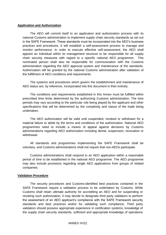#### **Application and Authorization**

The AEO will commit itself to an application and authorization process with its national Customs administration to implement supply chain security standards as set out in the SAFE Framework. These standards must be incorporated into the AEO's business practices and procedures. It will establish a self-assessment process to manage and monitor performance. In order to execute effective self-assessment, the AEO shall appoint an individual within its management structure to be responsible for all supply chain security measures with regard to a specific national AEO programme. This nominated person shall also be responsible for communication with the Customs administration regarding the AEO approval system and maintenance of the standards. Authorization will be granted by the national Customs administration after validation of the fulfillment of AEO conditions and requirements.

The systems and procedures which govern the establishment and maintenance of AEO status are, by reference, incorporated into this document in their entirety.

The conditions and requirements established in this Annex must be fulfilled within prescribed time limits determined by the authorizing Customs administration. The time periods may vary according to the particular role being played by the applicant and other specifications that will be determined by the complexity and nature of the trade being undertaken.

The AEO authorization will be valid until suspended, revoked or withdrawn for a material failure to abide by the terms and conditions of the authorization. National AEO programmes need to include a means of appeal against decisions by Customs administrations regarding AEO authorization including denial, suspension, revocation or withdrawal.

All standards and programmes implementing the SAFE Framework shall be voluntary, and Customs administrations shall not require that non-AEOs participate.

Customs administrations shall respond to an AEO application within a reasonable period of time to be established in the national AEO programme. The AEO programme may also include provisions regarding single AEO applications from groups of related companies.

#### **Validation Procedure**

The security procedures and Customs-identified best practices contained in the SAFE Framework require a validation process to be undertaken by Customs. While Customs shall retain ultimate authority for accrediting an AEO and for suspending or revoking such authorization, it may decide to designate third party validators to perform the assessment of an AEO applicant's compliance with the SAFE Framework security standards and best practices and/or for validating such compliance. Third party validators should possess appropriate experience in certification systems, knowledge of the supply chain security standards, sufficient and appropriate knowledge of operations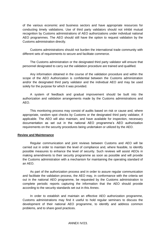of the various economic and business sectors and have appropriate resources for conducting timely validations. Use of third party validators should not inhibit mutual recognition by Customs administrations of AEO authorizations under individual national AEO programmes. The AEO should still have the option to request validation by the Customs administration directly.

Customs administrations should not burden the international trade community with different sets of requirements to secure and facilitate commerce.

The Customs administration or the designated third party validator will ensure that personnel designated to carry out the validation procedure are trained and qualified.

Any information obtained in the course of the validation procedure and within the scope of the AEO Authorization is confidential between the Customs administration and/or the designated third party validator and the individual AEO and may be used solely for the purpose for which it was provided.

A system of feedback and gradual improvement should be built into the authorization and validation arrangements made by the Customs administrations and AEO.

This monitoring process may consist of audits based on risk or cause and, where appropriate, random spot checks by Customs or the designated third party validator, if applicable. The AEO will also maintain, and have available for inspection, necessary documentation as set out in the national AEO programme's AEO authorization requirements on the security procedures being undertaken or utilized by the AEO.

#### **Review and Maintenance**

Regular communication and joint reviews between Customs and AEO will be carried out in order to maintain the level of compliance and, where feasible, to identify possible measures to enhance the level of security. Such reviews will assist AEOs in making amendments to their security programme as soon as possible and will provide the Customs administration with a mechanism for maintaining the operating standard of an AEO.

As part of the authorization process and in order to assure regular communication and facilitate the validation process, the AEO may, in conformance with the criteria set out in the national AEO programme, be requested by the Customs administration to complete periodic reports capturing the information that the AEO should provide according to the security standards set out in this Annex.

In order to establish and maintain an effective AEO authorization programme, Customs administrations may find it useful to hold regular seminars to discuss the development of their national AEO programme, to identify and address common problems, and to share good practices.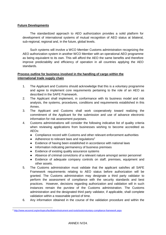### **Future Developments**

The standardized approach to AEO authorization provides a solid platform for development of international systems of mutual recognition of AEO status at bilateral, sub-regional, regional and, in the future, global levels.

Such systems will involve a WCO Member Customs administration recognizing the AEO authorization system in another WCO Member with an operational AEO programme as being equivalent to its own. This will afford the AEO the same benefits and therefore improve predictability and efficiency of operation in all countries applying the AEO standards.

### **Process outline for business involved in the handling of cargo within the international trade supply chain**

- 1. The Applicant and Customs should acknowledge that this is a voluntary programme and agree to implement core requirements pertaining to the role of an AEO as described in the SAFE Framework.
- 2. The Applicant shall implement, in conformance with its business model and risk analysis, the systems, procedures, conditions and requirements established in this Annex.
- 3. The Applicant and Customs shall work cooperatively toward realizing the commitment of the Applicant for the submission and use of advance electronic information for risk assessment purposes.
- 4. Customs administrations will consider the following indicative list of quality criteria when reviewing applications from businesses wishing to become accredited as AEOs:
	- Compliance record with Customs and other relevant enforcement authorities
	- $\bullet$  Adherence to relevant laws and regulations<sup>2</sup>
	- Evidence of having been established in accordance with national laws
	- Information indicating permanency of business premises
	- Evidence of existing quality assurance systems
	- Absence of criminal convictions of a relevant nature amongst senior personnel
	- Evidence of adequate company controls on staff, premises, equipment and other assets.
- 5. The Customs administration must validate that the applicant satisfies all SAFE Framework requirements relating to AEO status before authorization will be granted. The Customs administration may designate a third party validator to perform the assessment of compliance with the security standards and best practices. However, decisions regarding authorization and validation will in such instances remain the purview of the Customs administration. The Customs administration and the designated third party validator, if applicable, shall complete validation within a reasonable period of time.
- 6. Any information obtained in the course of the validation procedure and within the

 <sup>2</sup> <http://www.wcoomd.org/en/topics/facilitation/instrument-and-tools/tools/voluntary-compliance-framework.aspx>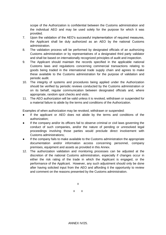scope of the Authorization is confidential between the Customs administration and the individual AEO and may be used solely for the purpose for which it was provided.

- 7. Upon the validation of the AEO's successful implementation of required measures, the Applicant shall be duly authorized as an AEO by the national Customs administration.
- 8. The validation process will be performed by designated officials of an authorizing Customs administration or by representatives of a designated third party validator and shall be based on internationally recognized principles of audit and inspection.
- 9. The Applicant should maintain the records specified in the applicable national Customs laws and regulations concerning commercial transactions relating to goods being traded in the international trade supply chain and agrees to make these available to the Customs administration for the purpose of validation and periodic audit.
- 10. The integrity of systems and procedures being applied under the Authorization should be verified by periodic reviews conducted by the Customs administration or on its behalf, regular communication between designated officials and, where appropriate, random spot checks and visits.
- 11. The AEO authorization will be valid unless it is revoked, withdrawn or suspended for a material failure to abide by the terms and conditions of the Authorization.

Examples of when authorization may be revoked, withdrawn or suspended:

- If the applicant or AEO does not abide by the terms and conditions of the authorization;
- If the company and/or its officers fail to observe criminal or civil laws governing the conduct of such companies, and/or the nature of pending or unresolved legal proceedings involving those parties would preclude direct involvement with Customs administrations;
- If the company fails to make available to the Customs administration the appropriate documentation and/or information access concerning personnel, company premises, equipment and assets as provided in this Annex.
- 12. The authorization validation and monitoring processes can be adjusted at the discretion of the national Customs administration, especially if changes occur in either the risk rating of the trade in which the Applicant is engaged, or the performance of the Applicant. However, any such adjustment should only be done after having solicited input from the AEO and affording it the opportunity to review and comment on the reasons presented by the Customs administration.

x

x x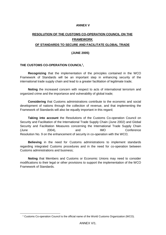#### **ANNEX V**

# **RESOLUTION OF THE CUSTOMS CO-OPERATION COUNCIL ON THE FRAMEWORK OF STANDARDS TO SECURE AND FACILITATE GLOBAL TRADE**

#### **(JUNE 2005)**

### **THE CUSTOMS CO-OPERATION COUNCIL<sup>1</sup> ,**

**Recognizing** that the implementation of the principles contained in the WCO Framework of Standards will be an important step in enhancing security of the international trade supply chain and lead to a greater facilitation of legitimate trade;

**Noting** the increased concern with respect to acts of international terrorism and organized crime and the importance and vulnerability of global trade;

**Considering** that Customs administrations contribute to the economic and social development of nations through the collection of revenue, and that implementing the Framework of Standards will also be equally important in this regard;

**Taking into account** the Resolutions of the Customs Co-operation Council on Security and Facilitation of the International Trade Supply Chain (June 2002) and Global Security and Facilitation Measures concerning the International Trade Supply Chain (June 2004), and IMO Conference Resolution No. 9 on the enhancement of security in co-operation with the WCO;

**Believing** in the need for Customs administrations to implement standards regarding integrated Customs procedures and in the need for co-operation between Customs administrations and business;

**Noting** that Members and Customs or Economic Unions may need to consider modifications to their legal or other provisions to support the implementation of the WCO Framework of Standards.

-

<sup>1</sup> Customs Co-operation Council is the official name of the World Customs Organization (WCO).